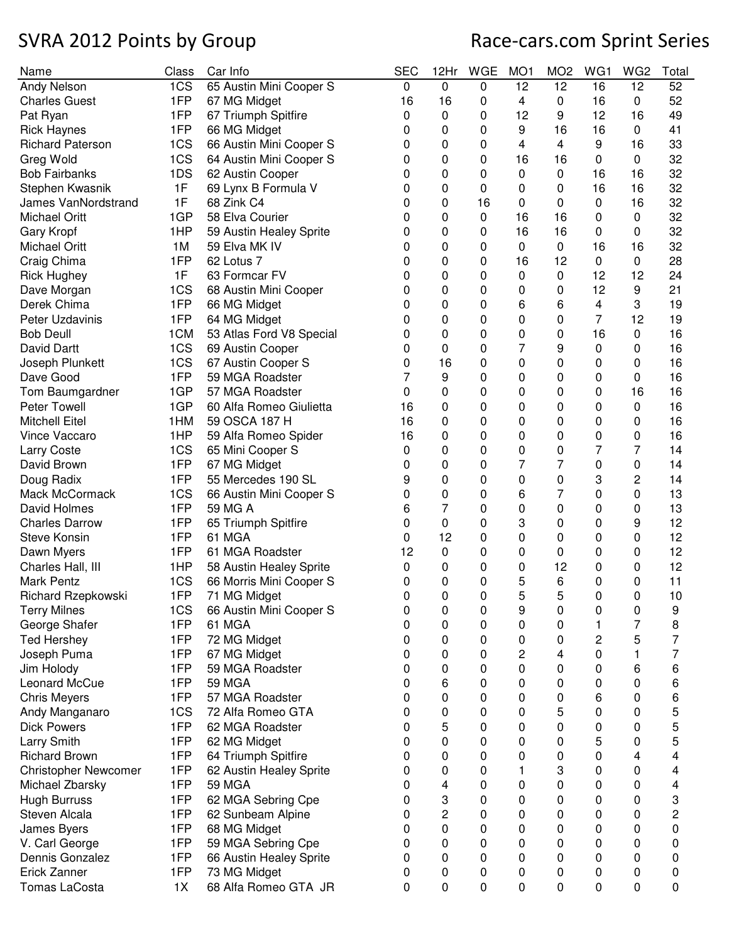| Name                        | Class           | Car Info                 | <b>SEC</b>  | 12Hr        | <b>WGE</b> | MO <sub>1</sub> | MO <sub>2</sub> | WG1 | WG <sub>2</sub> | Total       |
|-----------------------------|-----------------|--------------------------|-------------|-------------|------------|-----------------|-----------------|-----|-----------------|-------------|
| Andy Nelson                 | 1CS             | 65 Austin Mini Cooper S  | $\mathbf 0$ | 0           | 0          | 12              | 12              | 16  | 12              | 52          |
| <b>Charles Guest</b>        | 1FP             | 67 MG Midget             | 16          | 16          | 0          | 4               | 0               | 16  | 0               | 52          |
| Pat Ryan                    | 1FP             | 67 Triumph Spitfire      | 0           | 0           | 0          | 12              | 9               | 12  | 16              | 49          |
| <b>Rick Haynes</b>          | 1FP             | 66 MG Midget             | 0           | 0           | 0          | 9               | 16              | 16  | 0               | 41          |
| <b>Richard Paterson</b>     | 1CS             | 66 Austin Mini Cooper S  | 0           | 0           | 0          | 4               | 4               | 9   | 16              | 33          |
| Greg Wold                   | 1CS             | 64 Austin Mini Cooper S  | 0           | 0           | 0          | 16              | 16              | 0   | $\mathbf 0$     | 32          |
| <b>Bob Fairbanks</b>        | 1DS             | 62 Austin Cooper         | 0           | 0           | 0          | 0               | 0               | 16  | 16              | 32          |
| Stephen Kwasnik             | 1F              | 69 Lynx B Formula V      | 0           | $\mathbf 0$ | 0          | 0               | 0               | 16  | 16              | 32          |
| James VanNordstrand         | 1F              | 68 Zink C4               | 0           | 0           | 16         | 0               | 0               | 0   | 16              | 32          |
| <b>Michael Oritt</b>        | 1GP             | 58 Elva Courier          | 0           | 0           | 0          | 16              | 16              | 0   | $\pmb{0}$       | 32          |
| Gary Kropf                  | 1HP             | 59 Austin Healey Sprite  | 0           | 0           | 0          | 16              | 16              | 0   | 0               | 32          |
| <b>Michael Oritt</b>        | 1M              | 59 Elva MK IV            | 0           | 0           | 0          | 0               | $\mathbf 0$     | 16  | 16              | 32          |
| Craig Chima                 | 1FP             | 62 Lotus 7               | 0           | 0           | 0          | 16              | 12              | 0   | $\pmb{0}$       | 28          |
| <b>Rick Hughey</b>          | 1F              | 63 Formcar FV            | 0           | 0           | 0          | 0               | 0               | 12  | 12              | 24          |
| Dave Morgan                 | 1CS             | 68 Austin Mini Cooper    | 0           | 0           | 0          | 0               | 0               | 12  | 9               | 21          |
| Derek Chima                 | 1FP             | 66 MG Midget             | 0           | 0           | 0          | 6               | 6               | 4   | 3               | 19          |
| Peter Uzdavinis             | 1FP             | 64 MG Midget             | 0           | 0           | 0          | 0               | 0               | 7   | 12              | 19          |
| <b>Bob Deull</b>            | 1 <sub>CM</sub> | 53 Atlas Ford V8 Special | 0           | 0           | 0          | 0               | 0               | 16  | 0               | 16          |
| David Dartt                 | 1CS             | 69 Austin Cooper         | 0           | 0           | 0          | $\overline{7}$  | 9               | 0   | 0               | 16          |
| Joseph Plunkett             | 1CS             | 67 Austin Cooper S       | 0           | 16          | 0          | 0               | 0               | 0   | 0               | 16          |
| Dave Good                   | 1FP             | 59 MGA Roadster          |             | 9           | 0          | 0               | 0               | 0   | 0               | 16          |
| Tom Baumgardner             | 1GP             | 57 MGA Roadster          | 0           | 0           | 0          | 0               | 0               | 0   | 16              | 16          |
| Peter Towell                | 1GP             | 60 Alfa Romeo Giulietta  | 16          | 0           | 0          | 0               | 0               | 0   | $\mathbf 0$     | 16          |
| <b>Mitchell Eitel</b>       | 1HM             | 59 OSCA 187 H            | 16          | 0           | 0          | 0               | 0               | 0   | 0               | 16          |
| Vince Vaccaro               | 1HP             | 59 Alfa Romeo Spider     | 16          | 0           | 0          | 0               | 0               | 0   | 0               | 16          |
| <b>Larry Coste</b>          | 1CS             | 65 Mini Cooper S         | 0           | 0           | 0          | 0               | 0               | 7   | 7               | 14          |
| David Brown                 | 1FP             | 67 MG Midget             | 0           | 0           | 0          | 7               | 7               | 0   | 0               | 14          |
| Doug Radix                  | 1FP             | 55 Mercedes 190 SL       | 9           | 0           | 0          | 0               | 0               | 3   | 2               | 14          |
| Mack McCormack              | 1CS             | 66 Austin Mini Cooper S  | 0           | 0           | 0          | 6               | 7               | 0   | 0               | 13          |
| David Holmes                | 1FP             | 59 MG A                  | 6           | 7           | 0          | 0               | 0               | 0   | 0               | 13          |
| <b>Charles Darrow</b>       | 1FP             | 65 Triumph Spitfire      | 0           | 0           | 0          | 3               | 0               | 0   | 9               | 12          |
| <b>Steve Konsin</b>         | 1FP             | 61 MGA                   | 0           | 12          | 0          | 0               | 0               | 0   | 0               | 12          |
| Dawn Myers                  | 1FP             | 61 MGA Roadster          | 12          | 0           | 0          | 0               | 0               | 0   | 0               | 12          |
| Charles Hall, III           | 1HP             | 58 Austin Healey Sprite  | 0           | 0           | 0          | 0               | 12              | 0   | 0               | 12          |
| Mark Pentz                  | 1CS             | 66 Morris Mini Cooper S  | 0           | 0           | 0          | 5               | 6               | 0   | 0               | 11          |
| Richard Rzepkowski          | 1FP             | 71 MG Midget             | 0           | 0           | 0          | 5               | 5               | 0   | 0               | 10          |
| <b>Terry Milnes</b>         | 1CS             | 66 Austin Mini Cooper S  | 0           | 0           | 0          | 9               | 0               | 0   | 0               | 9           |
| George Shafer               | 1FP             | 61 MGA                   | 0           | 0           | 0          | 0               | 0               | 1   | $\overline{7}$  | 8           |
| <b>Ted Hershey</b>          | 1FP             | 72 MG Midget             | 0           | 0           | 0          | 0               | 0               | 2   | 5               | 7           |
| Joseph Puma                 | 1FP             | 67 MG Midget             | 0           | 0           | 0          | 2               | 4               | 0   | 1               | 7           |
| Jim Holody                  | 1FP             | 59 MGA Roadster          | 0           | 0           | 0          | 0               | 0               | 0   | 6               | 6           |
| Leonard McCue               | 1FP             | <b>59 MGA</b>            | 0           | 6           | 0          | 0               | 0               | 0   | 0               | 6           |
| <b>Chris Meyers</b>         | 1FP             | 57 MGA Roadster          | 0           | 0           | 0          | 0               | 0               | 6   | 0               | 6           |
| Andy Manganaro              | 1CS             | 72 Alfa Romeo GTA        | 0           | 0           | 0          | 0               | 5               | 0   | 0               | 5           |
| <b>Dick Powers</b>          | 1FP             | 62 MGA Roadster          | 0           | 5           | 0          | 0               | 0               | 0   | 0               | 5           |
| Larry Smith                 | 1FP             | 62 MG Midget             | 0           | 0           | 0          | 0               | 0               | 5   | 0               | 5           |
| <b>Richard Brown</b>        | 1FP             | 64 Triumph Spitfire      | 0           | 0           | 0          | 0               | 0               | 0   | 4               | 4           |
| <b>Christopher Newcomer</b> | 1FP             | 62 Austin Healey Sprite  | 0           | 0           | 0          |                 | 3               | 0   | 0               | 4           |
| Michael Zbarsky             | 1FP             | <b>59 MGA</b>            | 0           | 4           | 0          | 0               | 0               | 0   | 0               | 4           |
| <b>Hugh Burruss</b>         | 1FP             | 62 MGA Sebring Cpe       | 0           | 3           | 0          | 0               | 0               | 0   | 0               | 3           |
| Steven Alcala               | 1FP             | 62 Sunbeam Alpine        | 0           | 2           | 0          | 0               | 0               | 0   | 0               | 2           |
| James Byers                 | 1FP             | 68 MG Midget             | 0           | 0           | 0          | 0               | 0               | 0   | 0               | 0           |
| V. Carl George              | 1FP             | 59 MGA Sebring Cpe       | 0           | 0           | 0          | 0               | 0               | 0   | 0               | 0           |
| Dennis Gonzalez             | 1FP             | 66 Austin Healey Sprite  | 0           | 0           | 0          | 0               | 0               | 0   | 0               | 0           |
| Erick Zanner                | 1FP             | 73 MG Midget             | 0           | 0           | 0          | 0               | 0               | 0   | 0               | 0           |
| Tomas LaCosta               | 1X              | 68 Alfa Romeo GTA JR     | 0           | 0           | 0          | 0               | 0               | 0   | 0               | $\mathbf 0$ |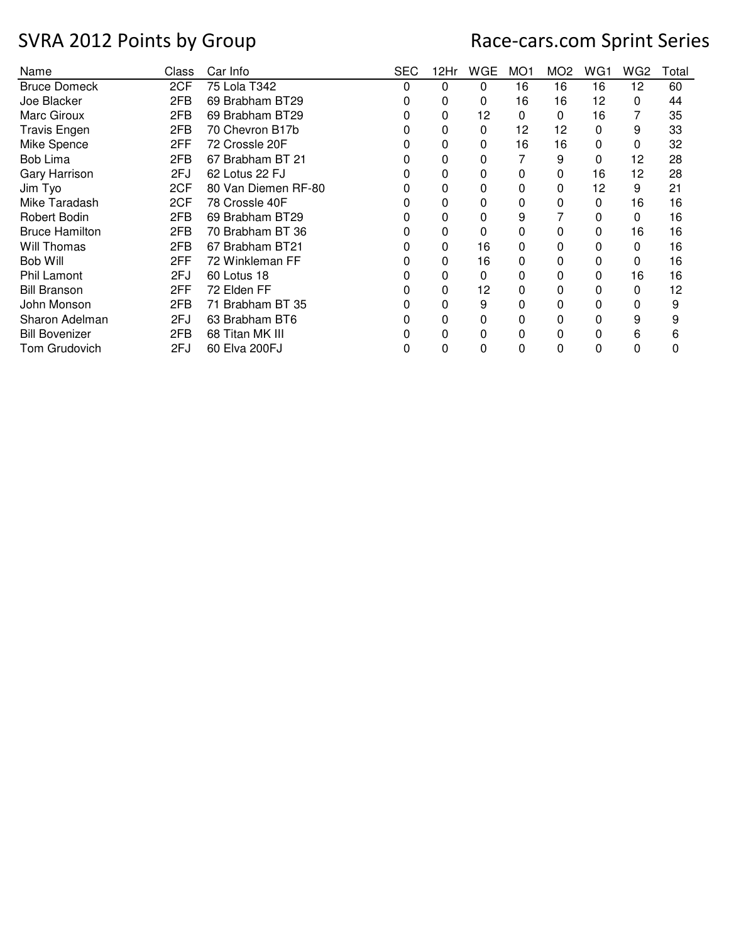| Name                  | Class | Car Info            | <b>SEC</b> | 12Hr | WGE | MO <sub>1</sub> | MO <sub>2</sub> | WG1 | WG <sub>2</sub> | Total |
|-----------------------|-------|---------------------|------------|------|-----|-----------------|-----------------|-----|-----------------|-------|
| <b>Bruce Domeck</b>   | 2CF   | 75 Lola T342        | 0          | 0    | 0   | 16              | 16              | 16  | 12              | 60    |
| Joe Blacker           | 2FB   | 69 Brabham BT29     | 0          | 0    | 0   | 16              | 16              | 12  | 0               | 44    |
| Marc Giroux           | 2FB   | 69 Brabham BT29     |            | 0    | 12  | 0               | 0               | 16  |                 | 35    |
| <b>Travis Engen</b>   | 2FB   | 70 Chevron B17b     |            | 0    | 0   | 12              | 12              | 0   | 9               | 33    |
| Mike Spence           | 2FF   | 72 Crossle 20F      |            | 0    | 0   | 16              | 16              | 0   | 0               | 32    |
| <b>Bob Lima</b>       | 2FB   | 67 Brabham BT 21    |            | 0    |     |                 | 9               | 0   | 12              | 28    |
| <b>Gary Harrison</b>  | 2FJ   | 62 Lotus 22 FJ      | O          | 0    | 0   | 0               | 0               | 16  | 12              | 28    |
| Jim Tyo               | 2CF   | 80 Van Diemen RF-80 |            | 0    | 0   | 0               | 0               | 12  | 9               | 21    |
| Mike Taradash         | 2CF   | 78 Crossle 40F      |            | 0    | 0   | 0               | 0               | 0   | 16              | 16    |
| Robert Bodin          | 2FB   | 69 Brabham BT29     |            | 0    | 0   | 9               |                 | 0   | 0               | 16    |
| <b>Bruce Hamilton</b> | 2FB   | 70 Brabham BT 36    |            | 0    | 0   | 0               | 0               | 0   | 16              | 16    |
| Will Thomas           | 2FB   | 67 Brabham BT21     |            | 0    | 16  | 0               | 0               | 0   | 0               | 16    |
| Bob Will              | 2FF   | 72 Winkleman FF     |            | 0    | 16  | 0               | 0               | 0   | 0               | 16    |
| <b>Phil Lamont</b>    | 2FJ   | 60 Lotus 18         |            | 0    | 0   | 0               | 0               | 0   | 16              | 16    |
| <b>Bill Branson</b>   | 2FF   | 72 Elden FF         |            | 0    | 12  | 0               | 0               | 0   | 0               | 12    |
| John Monson           | 2FB   | 71 Brabham BT 35    |            | 0    | 9   | 0               | 0               | 0   | 0               | 9     |
| Sharon Adelman        | 2FJ   | 63 Brabham BT6      |            | 0    | 0   | 0               | 0               | 0   | 9               | 9     |
| <b>Bill Bovenizer</b> | 2FB   | 68 Titan MK III     |            | 0    | 0   | 0               | 0               | 0   | 6               | 6     |
| Tom Grudovich         | 2FJ   | 60 Elva 200FJ       |            | 0    | 0   | 0               | 0               | 0   | 0               | 0     |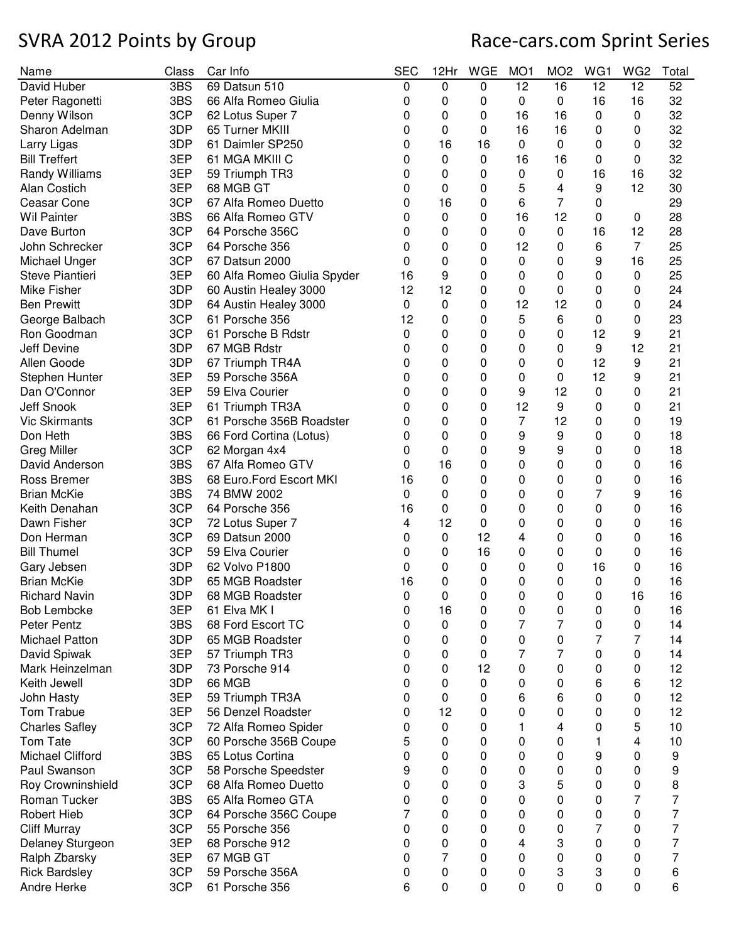| Name                                 | Class | Car Info                          | <b>SEC</b> | 12Hr | <b>WGE</b> | MO <sub>1</sub> | MO <sub>2</sub> | WG1 | WG <sub>2</sub> | Total |
|--------------------------------------|-------|-----------------------------------|------------|------|------------|-----------------|-----------------|-----|-----------------|-------|
| David Huber                          | 3BS   | 69 Datsun 510                     | 0          | 0    | 0          | 12              | 16              | 12  | 12              | 52    |
| Peter Ragonetti                      | 3BS   | 66 Alfa Romeo Giulia              | 0          | 0    | 0          | 0               | 0               | 16  | 16              | 32    |
| Denny Wilson                         | 3CP   | 62 Lotus Super 7                  | 0          | 0    | 0          | 16              | 16              | 0   | 0               | 32    |
| Sharon Adelman                       | 3DP   | 65 Turner MKIII                   | 0          | 0    | 0          | 16              | 16              | 0   | 0               | 32    |
| Larry Ligas                          | 3DP   | 61 Daimler SP250                  | 0          | 16   | 16         | 0               | 0               | 0   | 0               | 32    |
| <b>Bill Treffert</b>                 | 3EP   | 61 MGA MKIII C                    | 0          | 0    | 0          | 16              | 16              | 0   | 0               | 32    |
| <b>Randy Williams</b>                | 3EP   | 59 Triumph TR3                    | 0          | 0    | 0          | 0               | 0               | 16  | 16              | 32    |
| Alan Costich                         | 3EP   | 68 MGB GT                         | 0          | 0    | 0          | 5               | 4               | 9   | 12              | 30    |
| Ceasar Cone                          | 3CP   | 67 Alfa Romeo Duetto              | 0          | 16   | 0          | 6               | $\overline{7}$  | 0   |                 | 29    |
| <b>Wil Painter</b>                   | 3BS   | 66 Alfa Romeo GTV                 | 0          | 0    | 0          | 16              | 12              | 0   | 0               | 28    |
| Dave Burton                          | 3CP   | 64 Porsche 356C                   | 0          | 0    | 0          | 0               | 0               | 16  | 12              | 28    |
| John Schrecker                       | 3CP   | 64 Porsche 356                    | 0          | 0    | 0          | 12              | 0               | 6   | 7               | 25    |
| Michael Unger                        | 3CP   | 67 Datsun 2000                    | 0          | 0    | 0          | 0               | 0               | 9   | 16              | 25    |
| Steve Piantieri                      | 3EP   | 60 Alfa Romeo Giulia Spyder       | 16         | 9    | 0          | 0               | 0               | 0   | 0               | 25    |
| Mike Fisher                          | 3DP   | 60 Austin Healey 3000             | 12         | 12   | 0          | 0               | 0               | 0   | 0               | 24    |
| <b>Ben Prewitt</b>                   | 3DP   | 64 Austin Healey 3000             | 0          | 0    | 0          | 12              | 12              | 0   | 0               | 24    |
| George Balbach                       | 3CP   | 61 Porsche 356                    | 12         | 0    | 0          | 5               | 6               | 0   | 0               | 23    |
| Ron Goodman                          | 3CP   | 61 Porsche B Rdstr                | 0          | 0    | 0          | 0               | 0               | 12  | 9               | 21    |
| Jeff Devine                          | 3DP   | 67 MGB Rdstr                      | 0          | 0    | 0          | 0               | 0               | 9   | 12              | 21    |
| Allen Goode                          | 3DP   | 67 Triumph TR4A                   | 0          | 0    | 0          | 0               | 0               | 12  | 9               | 21    |
| Stephen Hunter                       | 3EP   | 59 Porsche 356A                   | 0          | 0    | 0          | 0               | 0               | 12  | 9               | 21    |
| Dan O'Connor                         | 3EP   | 59 Elva Courier                   | 0          | 0    | 0          | 9               | 12              | 0   | 0               | 21    |
| Jeff Snook                           | 3EP   | 61 Triumph TR3A                   | 0          | 0    | 0          | 12              | 9               | 0   | 0               | 21    |
| <b>Vic Skirmants</b>                 | 3CP   | 61 Porsche 356B Roadster          | 0          | 0    | 0          | $\overline{7}$  | 12              | 0   | 0               | 19    |
| Don Heth                             | 3BS   | 66 Ford Cortina (Lotus)           | 0          | 0    | 0          | 9               | 9               | 0   | 0               | 18    |
| <b>Greg Miller</b>                   | 3CP   | 62 Morgan 4x4                     | 0          | 0    | 0          | 9               | 9               | 0   | 0               | 18    |
| David Anderson                       | 3BS   | 67 Alfa Romeo GTV                 | 0          | 16   | 0          | 0               | 0               | 0   | 0               | 16    |
| <b>Ross Bremer</b>                   | 3BS   | 68 Euro.Ford Escort MKI           | 16         | 0    | 0          | 0               | 0               | 0   | 0               | 16    |
| <b>Brian McKie</b>                   | 3BS   | 74 BMW 2002                       | 0          | 0    | 0          | 0               | 0               | 7   | 9               | 16    |
| Keith Denahan                        | 3CP   | 64 Porsche 356                    | 16         | 0    | 0          | 0               | 0               | 0   | 0               | 16    |
| Dawn Fisher                          | 3CP   | 72 Lotus Super 7                  | 4          | 12   | 0          | 0               | 0               | 0   | 0               | 16    |
| Don Herman                           | 3CP   | 69 Datsun 2000                    | 0          | 0    | 12         | 4               | 0               | 0   | 0               | 16    |
| <b>Bill Thumel</b>                   | 3CP   | 59 Elva Courier                   | 0          | 0    | 16         | 0               | 0               | 0   | 0               | 16    |
| Gary Jebsen                          | 3DP   | 62 Volvo P1800                    | 0          | 0    | 0          | 0               | 0               | 16  | 0               | 16    |
| <b>Brian McKie</b>                   | 3DP   | 65 MGB Roadster                   | 16         | 0    | 0          | 0               | 0               | 0   | 0               | 16    |
|                                      |       |                                   |            |      |            |                 |                 |     |                 |       |
| Richard Navin                        | 3DP   | 68 MGB Roadster                   | 0          | 0    | 0          | 0               | 0               | 0   | 16              | 16    |
| <b>Bob Lembcke</b>                   | 3EP   | 61 Elva MK I<br>68 Ford Escort TC | 0          | 16   | 0          | 0               | 0               | 0   | 0               | 16    |
| Peter Pentz<br><b>Michael Patton</b> | 3BS   | 65 MGB Roadster                   | 0          | 0    | 0          | 7               | 7               | 0   | 0               | 14    |
|                                      | 3DP   |                                   | 0          | 0    | 0          | 0               | 0               | 7   | 7               | 14    |
| David Spiwak<br>Mark Heinzelman      | 3EP   | 57 Triumph TR3                    | 0          | 0    | 0<br>12    | 7               | 7               | 0   | 0               | 14    |
|                                      | 3DP   | 73 Porsche 914                    | 0          | 0    |            | 0               | 0               | 0   | 0               | 12    |
| Keith Jewell                         | 3DP   | 66 MGB                            | 0          | 0    | 0          | 0               | 0               | 6   | 6               | 12    |
| John Hasty                           | 3EP   | 59 Triumph TR3A                   | 0          | 0    | 0          | 6               | 6               | 0   | 0               | 12    |
| Tom Trabue                           | 3EP   | 56 Denzel Roadster                | 0          | 12   | 0          | 0               | 0               | 0   | 0               | 12    |
| <b>Charles Safley</b>                | 3CP   | 72 Alfa Romeo Spider              | 0          | 0    | 0          | 1               | 4               | 0   | 5               | 10    |
| Tom Tate                             | 3CP   | 60 Porsche 356B Coupe             | 5          | 0    | 0          | 0               | 0               | 1   | 4               | 10    |
| <b>Michael Clifford</b>              | 3BS   | 65 Lotus Cortina                  | 0          | 0    | 0          | 0               | 0               | 9   | 0               | 9     |
| Paul Swanson                         | 3CP   | 58 Porsche Speedster              | 9          | 0    | 0          | 0               | 0               | 0   | 0               | 9     |
| Roy Crowninshield                    | 3CP   | 68 Alfa Romeo Duetto              | 0          | 0    | 0          | 3               | 5               | 0   | 0               | 8     |
| Roman Tucker                         | 3BS   | 65 Alfa Romeo GTA                 | 0          | 0    | 0          | 0               | 0               | 0   | 7               | 7     |
| <b>Robert Hieb</b>                   | 3CP   | 64 Porsche 356C Coupe             | 7          | 0    | 0          | 0               | 0               | 0   | 0               | 7     |
| <b>Cliff Murray</b>                  | 3CP   | 55 Porsche 356                    | 0          | 0    | 0          | 0               | 0               | 7   | 0               | 7     |
| Delaney Sturgeon                     | 3EP   | 68 Porsche 912                    | 0          | 0    | 0          | 4               | 3               | 0   | 0               | 7     |
| Ralph Zbarsky                        | 3EP   | 67 MGB GT                         | 0          | 7    | 0          | 0               | 0               | 0   | 0               | 7     |
| <b>Rick Bardsley</b>                 | 3CP   | 59 Porsche 356A                   | 0          | 0    | 0          | 0               | 3               | 3   | 0               | 6     |
| Andre Herke                          | 3CP   | 61 Porsche 356                    | 6          | 0    | 0          | 0               | 0               | 0   | 0               | 6     |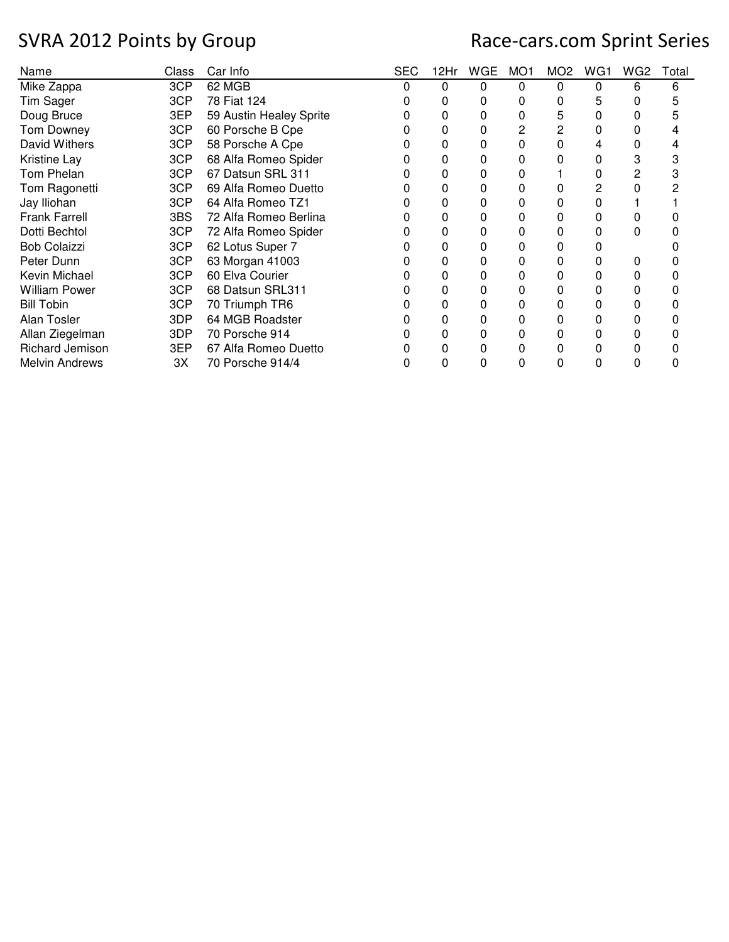| Name                  | Class | Car Info                | <b>SEC</b> | 12Hr | WGE | MO1 | MO <sub>2</sub> | WG1 | WG2 | Total |
|-----------------------|-------|-------------------------|------------|------|-----|-----|-----------------|-----|-----|-------|
| Mike Zappa            | 3CP   | 62 MGB                  |            | 0    | 0   | 0   | 0               | 0   | 6   | 6     |
| Tim Sager             | 3CP   | 78 Fiat 124             |            | O    | 0   | 0   | 0               | 5   | 0   | 5     |
| Doug Bruce            | 3EP   | 59 Austin Healey Sprite |            | 0    | 0   |     | 5               | 0   |     |       |
| Tom Downey            | 3CP   | 60 Porsche B Cpe        |            | 0    | 0   |     | 2               | 0   |     |       |
| David Withers         | 3CP   | 58 Porsche A Cpe        |            | 0    | 0   | 0   |                 |     | 0   |       |
| Kristine Lay          | 3CP   | 68 Alfa Romeo Spider    |            | 0    | 0   | 0   | 0               | 0   | 3   |       |
| Tom Phelan            | 3CP   | 67 Datsun SRL 311       |            | 0    |     |     |                 | 0   | 2   |       |
| Tom Ragonetti         | 3CP   | 69 Alfa Romeo Duetto    |            | 0    | 0   | 0   |                 | 2   | 0   |       |
| Jay Iliohan           | 3CP   | 64 Alfa Romeo TZ1       |            | 0    | 0   | 0   |                 | 0   |     |       |
| <b>Frank Farrell</b>  | 3BS   | 72 Alfa Romeo Berlina   |            | 0    | 0   | 0   | 0               | 0   |     |       |
| Dotti Bechtol         | 3CP   | 72 Alfa Romeo Spider    |            | 0    | 0   | 0   |                 |     | 0   |       |
| <b>Bob Colaizzi</b>   | 3CP   | 62 Lotus Super 7        |            | 0    | 0   | 0   |                 |     |     |       |
| Peter Dunn            | 3CP   | 63 Morgan 41003         |            | 0    | 0   | 0   | 0               | 0   | 0   |       |
| Kevin Michael         | 3CP   | 60 Elva Courier         |            | 0    | 0   | 0   | 0               | 0   | 0   |       |
| <b>William Power</b>  | 3CP   | 68 Datsun SRL311        |            | 0    | 0   |     |                 | 0   |     |       |
| <b>Bill Tobin</b>     | 3CP   | 70 Triumph TR6          |            | 0    | 0   | 0   | ი               | 0   | 0   |       |
| Alan Tosler           | 3DP   | 64 MGB Roadster         |            | 0    | 0   | 0   |                 | 0   | 0   |       |
| Allan Ziegelman       | 3DP   | 70 Porsche 914          |            | 0    | 0   | 0   | 0               | 0   |     |       |
| Richard Jemison       | 3EP   | 67 Alfa Romeo Duetto    |            | 0    |     |     |                 |     |     |       |
| <b>Melvin Andrews</b> | ЗX    | 70 Porsche 914/4        |            | 0    | 0   | 0   | 0               | 0   | 0   |       |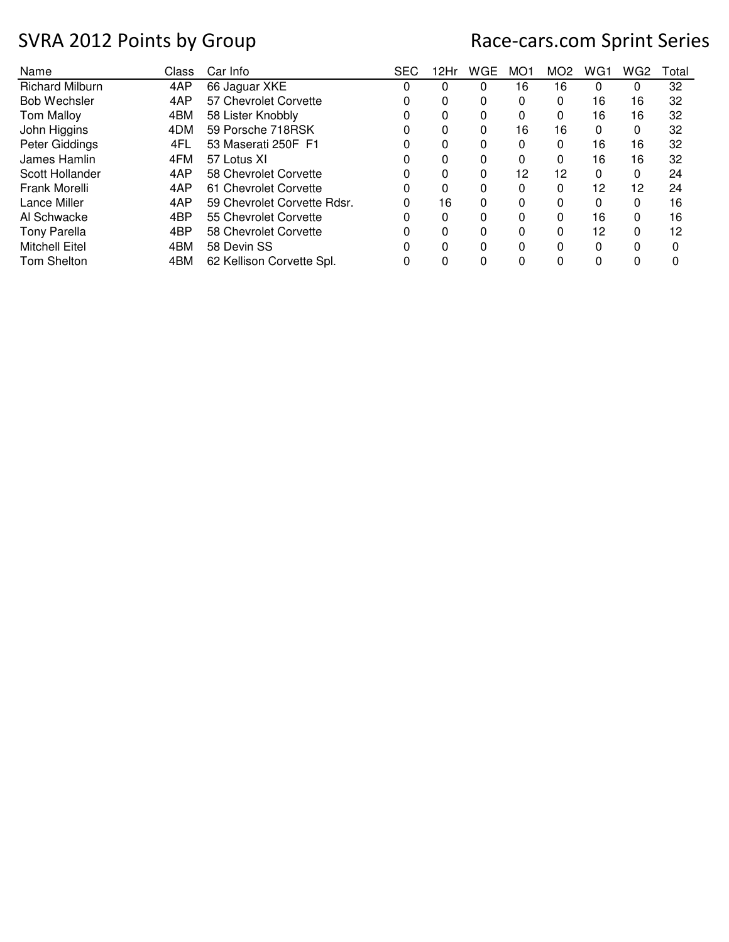| Name                   | Class | Car Info                    | <b>SEC</b> | 12Hr | WGE | MO <sub>1</sub> | MO <sub>2</sub> | WG1 | WG <sub>2</sub> | Total |
|------------------------|-------|-----------------------------|------------|------|-----|-----------------|-----------------|-----|-----------------|-------|
| <b>Richard Milburn</b> | 4AP   | 66 Jaguar XKE               |            | 0    | 0   | 16              | 16              | 0   | 0               | 32    |
| <b>Bob Wechsler</b>    | 4AP   | 57 Chevrolet Corvette       |            | 0    | 0   | 0               | 0               | 16  | 16              | 32    |
| <b>Tom Malloy</b>      | 4BM   | 58 Lister Knobbly           |            | 0    | 0   | 0               | 0               | 16  | 16              | 32    |
| John Higgins           | 4DM   | 59 Porsche 718RSK           |            | 0    | 0   | 16              | 16              | 0   | 0               | 32    |
| Peter Giddings         | 4FL   | 53 Maserati 250F F1         |            | 0    | 0   | 0               | 0               | 16  | 16              | 32    |
| James Hamlin           | 4FM   | 57 Lotus XI                 |            | 0    | 0   | 0               | 0               | 16  | 16              | 32    |
| Scott Hollander        | 4AP   | 58 Chevrolet Corvette       |            | 0    | 0   | 12              | 12              | 0   | 0               | 24    |
| Frank Morelli          | 4AP   | 61 Chevrolet Corvette       | O          | 0    | 0   | 0               | 0               | 12  | 12              | 24    |
| Lance Miller           | 4AP   | 59 Chevrolet Corvette Rdsr. |            | 16   | 0   | 0               | 0               | 0   | 0               | 16    |
| Al Schwacke            | 4BP   | 55 Chevrolet Corvette       |            | 0    | 0   | $\Omega$        | 0               | 16  | 0               | 16    |
| <b>Tony Parella</b>    | 4BP   | 58 Chevrolet Corvette       |            | 0    | O   | 0               | 0               | 12  | 0               | 12    |
| <b>Mitchell Eitel</b>  | 4BM   | 58 Devin SS                 |            | 0    | 0   | 0               | 0               | 0   | 0               | 0     |
| <b>Tom Shelton</b>     | 4BM   | 62 Kellison Corvette Spl.   |            |      | 0   | 0               | 0               | 0   | 0               |       |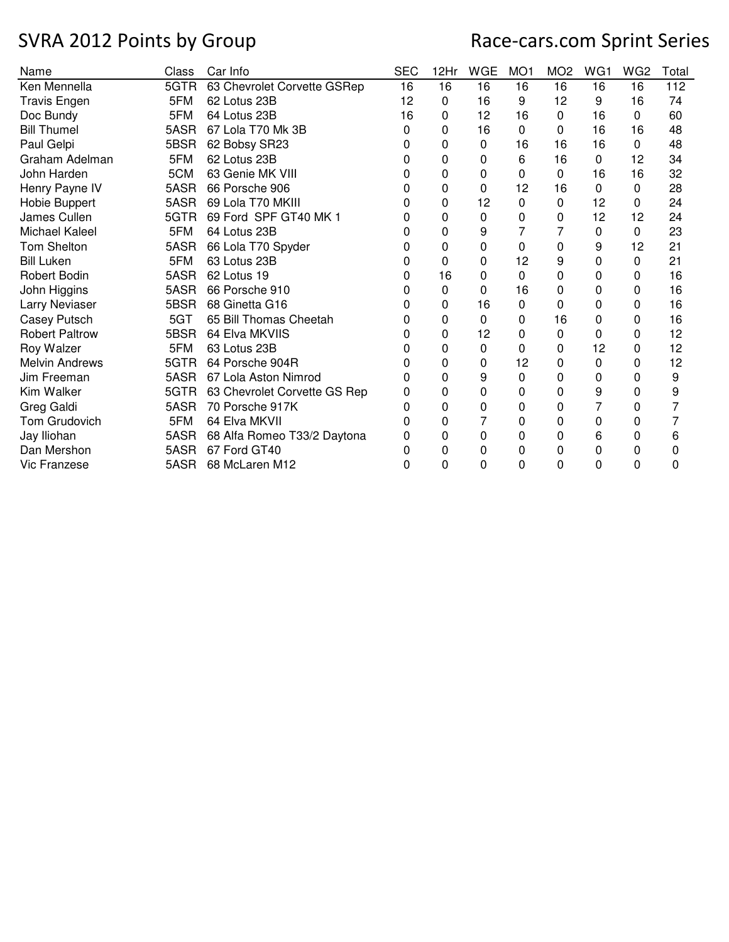| Name                  | Class | Car Info                     | <b>SEC</b> | 12Hr         | <b>WGE</b> | MO <sub>1</sub> | MO <sub>2</sub> | WG1 | WG <sub>2</sub> | Total |
|-----------------------|-------|------------------------------|------------|--------------|------------|-----------------|-----------------|-----|-----------------|-------|
| Ken Mennella          | 5GTR  | 63 Chevrolet Corvette GSRep  | 16         | 16           | 16         | 16              | 16              | 16  | 16              | 112   |
| <b>Travis Engen</b>   | 5FM   | 62 Lotus 23B                 | 12         | 0            | 16         | 9               | 12              | 9   | 16              | 74    |
| Doc Bundy             | 5FM   | 64 Lotus 23B                 | 16         | 0            | 12         | 16              | 0               | 16  | 0               | 60    |
| <b>Bill Thumel</b>    | 5ASR  | 67 Lola T70 Mk 3B            | 0          | 0            | 16         | 0               | 0               | 16  | 16              | 48    |
| Paul Gelpi            | 5BSR  | 62 Bobsy SR23                | 0          | $\Omega$     | $\Omega$   | 16              | 16              | 16  | 0               | 48    |
| Graham Adelman        | 5FM   | 62 Lotus 23B                 | 0          | 0            | 0          | 6               | 16              | 0   | 12              | 34    |
| John Harden           | 5CM   | 63 Genie MK VIII             | 0          | 0            | 0          | 0               | 0               | 16  | 16              | 32    |
| Henry Payne IV        | 5ASR  | 66 Porsche 906               | 0          | $\Omega$     | 0          | 12              | 16              | 0   | 0               | 28    |
| Hobie Buppert         | 5ASR  | 69 Lola T70 MKIII            | 0          | 0            | 12         | 0               | 0               | 12  | $\mathbf 0$     | 24    |
| James Cullen          | 5GTR  | 69 Ford SPF GT40 MK 1        | 0          | 0            | 0          | 0               | 0               | 12  | 12              | 24    |
| Michael Kaleel        | 5FM   | 64 Lotus 23B                 | 0          | $\Omega$     | 9          | 7               | 7               | 0   | $\Omega$        | 23    |
| <b>Tom Shelton</b>    | 5ASR  | 66 Lola T70 Spyder           | 0          | 0            | 0          | 0               | 0               | 9   | 12              | 21    |
| <b>Bill Luken</b>     | 5FM   | 63 Lotus 23B                 | 0          | $\Omega$     | 0          | 12              | 9               | 0   | 0               | 21    |
| <b>Robert Bodin</b>   | 5ASR  | 62 Lotus 19                  | 0          | 16           | 0          | $\Omega$        | 0               | 0   | 0               | 16    |
| John Higgins          | 5ASR  | 66 Porsche 910               | 0          | $\mathbf{0}$ | 0          | 16              | 0               | 0   | 0               | 16    |
| Larry Neviaser        | 5BSR  | 68 Ginetta G16               | 0          | 0            | 16         | 0               | 0               | 0   | 0               | 16    |
| Casey Putsch          | 5GT   | 65 Bill Thomas Cheetah       | 0          | $\Omega$     | $\Omega$   | 0               | 16              | 0   | 0               | 16    |
| <b>Robert Paltrow</b> | 5BSR  | 64 Elva MKVIIS               | 0          | 0            | 12         | 0               | 0               | 0   | 0               | 12    |
| Roy Walzer            | 5FM   | 63 Lotus 23B                 | 0          | 0            | 0          | 0               | 0               | 12  | 0               | 12    |
| <b>Melvin Andrews</b> | 5GTR  | 64 Porsche 904R              | 0          | 0            | 0          | 12              | 0               | 0   | 0               | 12    |
| Jim Freeman           | 5ASR  | 67 Lola Aston Nimrod         | 0          | 0            | 9          | 0               | 0               | 0   | 0               | 9     |
| Kim Walker            | 5GTR  | 63 Chevrolet Corvette GS Rep | 0          | 0            | 0          | 0               | 0               | 9   | 0               | 9     |
| Greg Galdi            | 5ASR  | 70 Porsche 917K              | 0          | 0            | 0          | 0               | 0               | 7   | 0               | 7     |
| Tom Grudovich         | 5FM   | 64 Elva MKVII                | 0          | 0            | 7          | 0               | 0               | 0   | 0               |       |
| Jay Iliohan           | 5ASR  | 68 Alfa Romeo T33/2 Daytona  | 0          | 0            | 0          | 0               | 0               | 6   | 0               | 6     |
| Dan Mershon           | 5ASR  | 67 Ford GT40                 | O          | $\Omega$     | 0          | 0               | 0               | 0   | 0               | 0     |
| Vic Franzese          | 5ASR  | 68 McLaren M12               | 0          | 0            | 0          | 0               | 0               | 0   | 0               | 0     |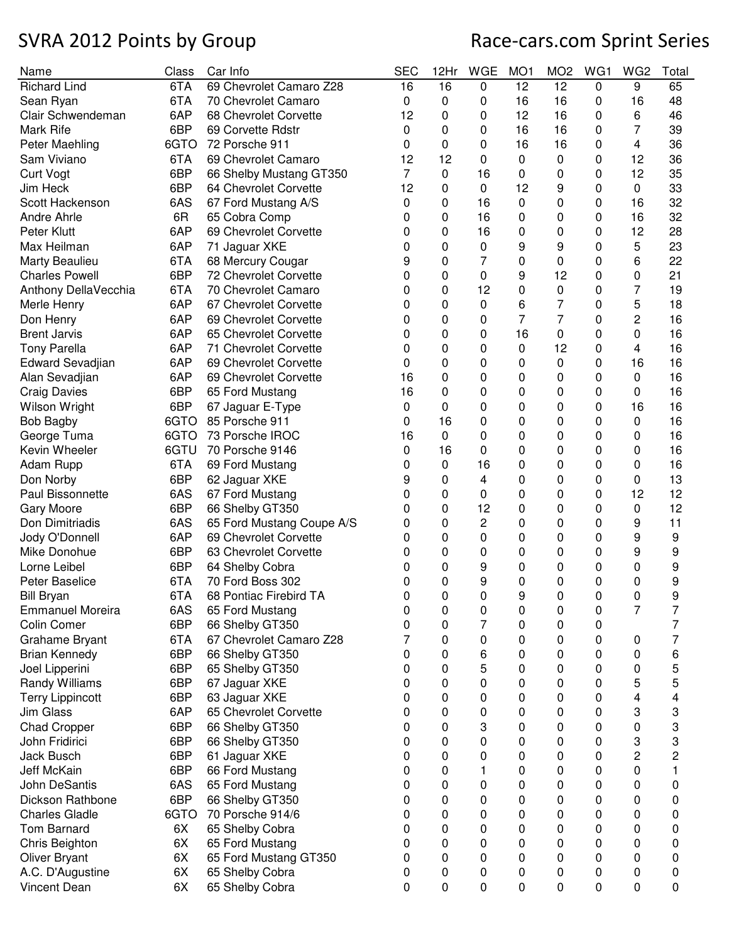| Name                             | Class      | Car Info                         | <b>SEC</b> | 12Hr   | WGE    | MO <sub>1</sub> | MO <sub>2</sub> | WG1    | WG2    | Total  |
|----------------------------------|------------|----------------------------------|------------|--------|--------|-----------------|-----------------|--------|--------|--------|
| <b>Richard Lind</b>              | 6TA        | 69 Chevrolet Camaro Z28          | 16         | 16     | 0      | 12              | 12              | 0      | 9      | 65     |
| Sean Ryan                        | 6TA        | 70 Chevrolet Camaro              | 0          | 0      | 0      | 16              | 16              | 0      | 16     | 48     |
| Clair Schwendeman                | 6AP        | 68 Chevrolet Corvette            | 12         | 0      | 0      | 12              | 16              | 0      | 6      | 46     |
| Mark Rife                        | 6BP        | 69 Corvette Rdstr                | 0          | 0      | 0      | 16              | 16              | 0      | 7      | 39     |
| Peter Maehling                   | 6GTO       | 72 Porsche 911                   | 0          | 0      | 0      | 16              | 16              | 0      | 4      | 36     |
| Sam Viviano                      | 6TA        | 69 Chevrolet Camaro              | 12         | 12     | 0      | 0               | 0               | 0      | 12     | 36     |
| <b>Curt Vogt</b>                 | 6BP        | 66 Shelby Mustang GT350          | 7          | 0      | 16     | 0               | 0               | 0      | 12     | 35     |
| Jim Heck                         | 6BP        | 64 Chevrolet Corvette            | 12         | 0      | 0      | 12              | 9               | 0      | 0      | 33     |
| Scott Hackenson                  | 6AS        | 67 Ford Mustang A/S              | 0          | 0      | 16     | 0               | 0               | 0      | 16     | 32     |
| Andre Ahrle                      | 6R         | 65 Cobra Comp                    | 0          | 0      | 16     | 0               | 0               | 0      | 16     | 32     |
| Peter Klutt                      | 6AP        | 69 Chevrolet Corvette            | 0          | 0      | 16     | 0               | 0               | 0      | 12     | 28     |
| Max Heilman                      | 6AP        | 71 Jaguar XKE                    | 0          | 0      | 0      | 9               | 9               | 0      | 5      | 23     |
| Marty Beaulieu                   | 6TA        | 68 Mercury Cougar                | 9          | 0      | 7      | 0               | 0               | 0      | 6      | 22     |
| <b>Charles Powell</b>            | 6BP        | 72 Chevrolet Corvette            | 0          | 0      | 0      | 9               | 12              | 0      | 0      | 21     |
| Anthony DellaVecchia             | 6TA        | 70 Chevrolet Camaro              | 0          | 0      | 12     | 0               | 0               | 0      | 7      | 19     |
| Merle Henry                      | 6AP        | 67 Chevrolet Corvette            | 0          | 0      | 0      | 6               | 7               | 0      | 5      | 18     |
| Don Henry                        | 6AP        | 69 Chevrolet Corvette            | 0          | 0      | 0      | $\overline{7}$  | $\overline{7}$  | 0      | 2      | 16     |
| <b>Brent Jarvis</b>              | 6AP        | 65 Chevrolet Corvette            | 0          | 0      | 0      | 16              | 0               | 0      | 0      | 16     |
| <b>Tony Parella</b>              | 6AP        | 71 Chevrolet Corvette            | 0          | 0      | 0      | 0               | 12              | 0      | 4      | 16     |
| Edward Sevadjian                 | 6AP        | 69 Chevrolet Corvette            | 0          | 0      | 0      | 0               | 0               | 0      | 16     | 16     |
| Alan Sevadjian                   | 6AP        | 69 Chevrolet Corvette            | 16         | 0      | 0      | 0               | 0               | 0      | 0      | 16     |
| <b>Craig Davies</b>              | 6BP        | 65 Ford Mustang                  | 16         | 0      | 0      | 0               | 0               | 0      | 0      | 16     |
| Wilson Wright                    | 6BP        | 67 Jaguar E-Type                 | 0          | 0      | 0      | 0               | 0               | 0      | 16     | 16     |
| <b>Bob Bagby</b>                 | 6GTO       | 85 Porsche 911                   | 0          | 16     | 0      | 0               | 0               | 0      | 0      | 16     |
| George Tuma                      | 6GTO       | 73 Porsche IROC                  | 16         | 0      | 0      | 0               | 0               | 0      | 0      | 16     |
| Kevin Wheeler                    | 6GTU       | 70 Porsche 9146                  | 0          | 16     | 0      | 0               | 0               | 0      | 0      | 16     |
| Adam Rupp                        | 6TA        | 69 Ford Mustang                  | 0          | 0      | 16     | 0               | 0               | 0      | 0      | 16     |
| Don Norby                        | 6BP        | 62 Jaguar XKE                    | 9          | 0      | 4      | 0               | 0               | 0      | 0      | 13     |
| Paul Bissonnette                 | 6AS        | 67 Ford Mustang                  | 0          | 0      | 0      | 0               | 0               | 0      | 12     | 12     |
| <b>Gary Moore</b>                | 6BP        | 66 Shelby GT350                  | 0          | 0      | 12     | 0               | 0               | 0      | 0      | 12     |
| Don Dimitriadis                  | 6AS        | 65 Ford Mustang Coupe A/S        | 0          | 0      | 2      | 0               | 0               | 0      | 9      | 11     |
| Jody O'Donnell                   | 6AP        | 69 Chevrolet Corvette            | 0          | 0      | 0      | 0               | 0               | 0      | 9      | 9      |
| Mike Donohue                     | 6BP        | 63 Chevrolet Corvette            | 0          | 0      | 0      | 0               | 0               | 0      | 9      | 9      |
| Lorne Leibel                     | 6BP        | 64 Shelby Cobra                  | 0          | 0      | 9      | 0               | 0               | 0      | 0      | 9      |
| Peter Baselice                   | 6TA        | 70 Ford Boss 302                 | 0          | 0      | 9      | 0               |                 | 0      |        | 9      |
| <b>Bill Bryan</b>                | 6TA        | 68 Pontiac Firebird TA           | 0          | 0      | 0      | 9               | 0<br>0          | 0      | 0<br>0 | 9      |
| <b>Emmanuel Moreira</b>          | 6AS        | 65 Ford Mustang                  |            |        |        |                 |                 |        | 7      | 7      |
|                                  |            |                                  | 0          | 0      | 0      | 0               | 0               | 0      |        |        |
| Colin Comer                      | 6BP<br>6TA | 66 Shelby GT350                  | 0<br>7     | 0      | 7      | 0               | 0               | 0      |        | 7<br>7 |
| Grahame Bryant                   |            | 67 Chevrolet Camaro Z28          |            | 0      | 0      | 0               | 0               | 0      | 0      |        |
| <b>Brian Kennedy</b>             | 6BP<br>6BP | 66 Shelby GT350                  | 0<br>0     | 0<br>0 | 6<br>5 | 0<br>0          | 0               | 0<br>0 | 0<br>0 | 6<br>5 |
| Joel Lipperini<br>Randy Williams | 6BP        | 65 Shelby GT350<br>67 Jaguar XKE |            | 0      | 0      | 0               | 0               | 0      | 5      | 5      |
|                                  |            |                                  | 0          |        |        |                 | 0               |        |        |        |
| <b>Terry Lippincott</b>          | 6BP<br>6AP | 63 Jaguar XKE                    | 0          | 0<br>0 | 0      | 0<br>0          | 0               | 0      | 4      | 4      |
| Jim Glass                        |            | 65 Chevrolet Corvette            | 0          |        | 0      |                 | 0               | 0      | 3      | 3      |
| <b>Chad Cropper</b>              | 6BP        | 66 Shelby GT350                  | 0          | 0      | 3      | 0               | 0               | 0      | 0      | 3      |
| John Fridirici                   | 6BP        | 66 Shelby GT350                  | 0          | 0      | 0      | 0               | 0               | 0      | 3      | 3      |
| Jack Busch                       | 6BP        | 61 Jaguar XKE                    | 0          | 0      | 0      | 0               | 0               | 0      | 2      | 2      |
| Jeff McKain                      | 6BP        | 66 Ford Mustang                  | 0          | 0      |        | 0               | 0               | 0      | 0      | 1      |
| <b>John DeSantis</b>             | 6AS        | 65 Ford Mustang                  | 0          | 0      | 0      | 0               | 0               | 0      | 0      | 0      |
| Dickson Rathbone                 | 6BP        | 66 Shelby GT350                  | 0          | 0      | 0      | 0               | 0               | 0      | 0      | 0      |
| <b>Charles Gladle</b>            | 6GTO       | 70 Porsche 914/6                 | 0          | 0      | 0      | 0               | 0               | 0      | 0      | 0      |
| <b>Tom Barnard</b>               | 6X         | 65 Shelby Cobra                  | 0          | 0      | 0      | 0               | 0               | 0      | 0      | 0      |
| Chris Beighton                   | 6X         | 65 Ford Mustang                  | 0          | 0      | 0      | 0               | 0               | 0      | 0      | 0      |
| Oliver Bryant                    | 6X         | 65 Ford Mustang GT350            | 0          | 0      | 0      | 0               | 0               | 0      | 0      | 0      |
| A.C. D'Augustine                 | 6X         | 65 Shelby Cobra                  | 0          | 0      | 0      | 0               | 0               | 0      | 0      | 0      |
| <b>Vincent Dean</b>              | 6X         | 65 Shelby Cobra                  | 0          | 0      | 0      | 0               | 0               | 0      | 0      | 0      |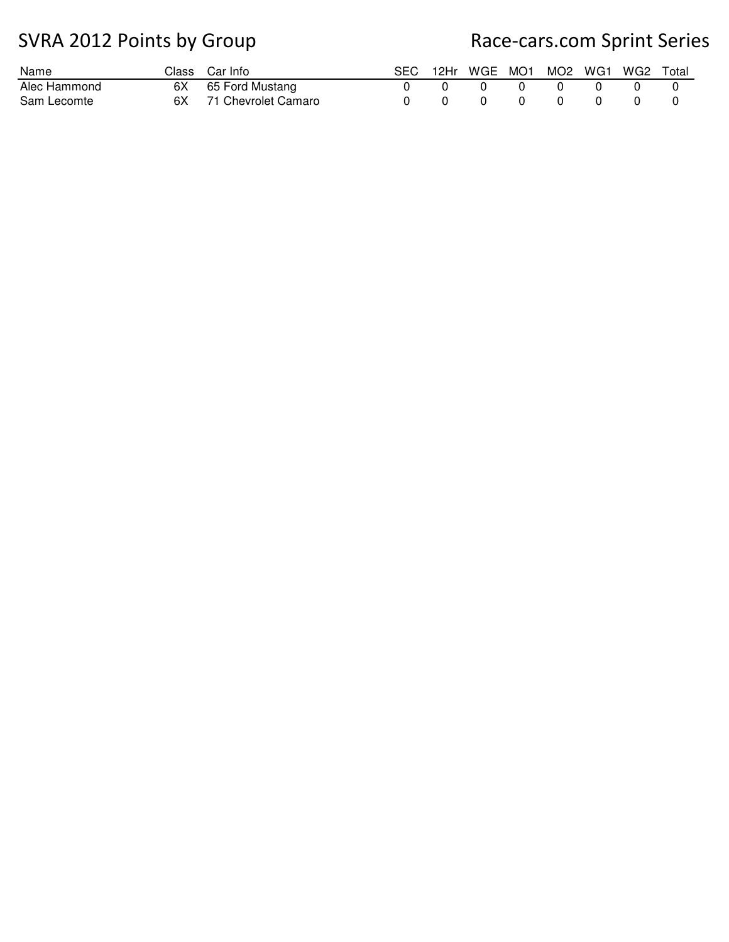| Name         |    | Class Car Info      |  | 12Hr WGE MO1 MO2 WG1 |  | . WG2 1 | Total |
|--------------|----|---------------------|--|----------------------|--|---------|-------|
| Alec Hammond | 6X | 65 Ford Mustang     |  |                      |  |         |       |
| Sam Lecomte  | 6X | 71 Chevrolet Camaro |  |                      |  |         |       |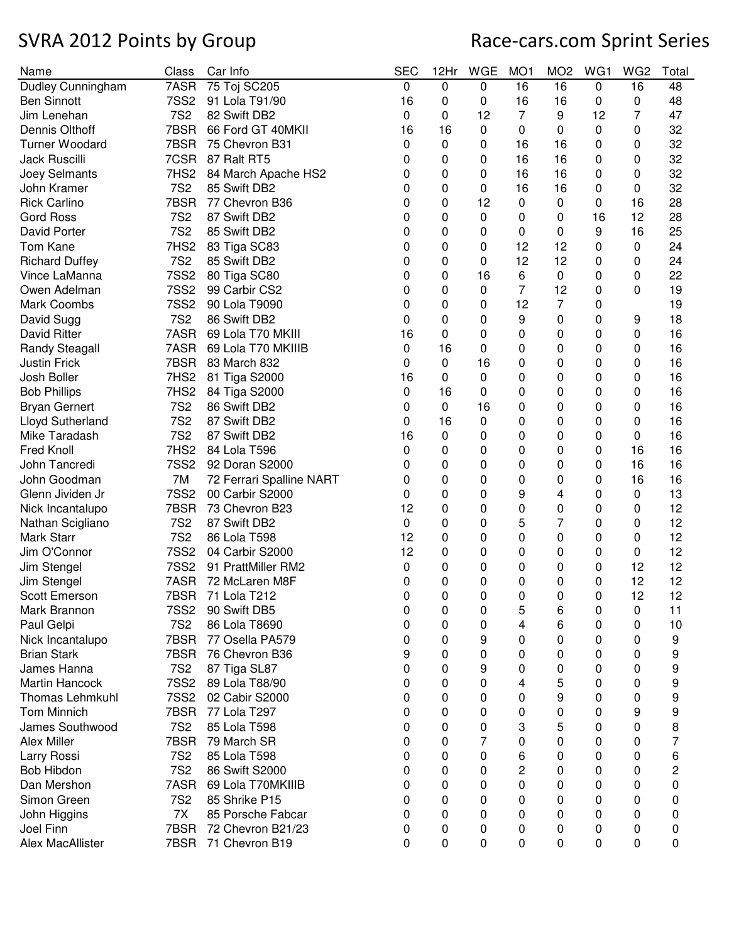| Name                           | Class            | Car Info                 | <b>SEC</b> | 12Hr | <b>WGE</b> | MO <sub>1</sub> | MO <sub>2</sub> | WG1 | WG <sub>2</sub> | Total |
|--------------------------------|------------------|--------------------------|------------|------|------------|-----------------|-----------------|-----|-----------------|-------|
| Dudley Cunningham              | 7ASR             | 75 Toj SC205             | 0          | 0    | 0          | 16              | 16              | 0   | 16              | 48    |
| <b>Ben Sinnott</b>             | <b>7SS2</b>      | 91 Lola T91/90           | 16         | 0    | 0          | 16              | 16              | 0   | 0               | 48    |
| Jim Lenehan                    | <b>7S2</b>       | 82 Swift DB2             | 0          | 0    | 12         | 7               | 9               | 12  | 7               | 47    |
| Dennis Olthoff                 | 7BSR             | 66 Ford GT 40MKII        | 16         | 16   | 0          | 0               | 0               | 0   | 0               | 32    |
| <b>Turner Woodard</b>          | 7BSR             | 75 Chevron B31           | 0          | 0    | 0          | 16              | 16              | 0   | 0               | 32    |
| Jack Ruscilli                  | 7CSR             | 87 Ralt RT5              | 0          | 0    | 0          | 16              | 16              | 0   | 0               | 32    |
| Joey Selmants                  | 7HS <sub>2</sub> | 84 March Apache HS2      | 0          | 0    | 0          | 16              | 16              | 0   | 0               | 32    |
| John Kramer                    | <b>7S2</b>       | 85 Swift DB2             | 0          | 0    | 0          | 16              | 16              | 0   | 0               | 32    |
| <b>Rick Carlino</b>            | 7BSR             | 77 Chevron B36           | 0          | 0    | 12         | 0               | 0               | 0   | 16              | 28    |
| <b>Gord Ross</b>               | <b>7S2</b>       | 87 Swift DB2             | 0          | 0    | 0          | 0               | 0               | 16  | 12              | 28    |
| David Porter                   | <b>7S2</b>       | 85 Swift DB2             | 0          | 0    | 0          | 0               | 0               | 9   | 16              | 25    |
| Tom Kane                       | 7HS2             | 83 Tiga SC83             | 0          | 0    | 0          | 12              | 12              | 0   | 0               | 24    |
| <b>Richard Duffey</b>          | <b>7S2</b>       | 85 Swift DB2             | 0          | 0    | 0          | 12              | 12              | 0   | 0               | 24    |
| Vince LaManna                  | <b>7SS2</b>      | 80 Tiga SC80             | 0          | 0    | 16         | 6               | 0               | 0   | 0               | 22    |
| Owen Adelman                   | <b>7SS2</b>      | 99 Carbir CS2            | 0          | 0    | 0          | $\overline{7}$  | 12              | 0   | 0               | 19    |
| <b>Mark Coombs</b>             | <b>7SS2</b>      | 90 Lola T9090            | 0          | 0    | 0          | 12              | 7               | 0   |                 | 19    |
| David Sugg                     | <b>7S2</b>       | 86 Swift DB2             | 0          | 0    | 0          | 9               | 0               | 0   | 9               | 18    |
| <b>David Ritter</b>            | 7ASR             | 69 Lola T70 MKIII        | 16         | 0    | 0          | 0               | 0               | 0   | 0               | 16    |
| <b>Randy Steagall</b>          | 7ASR             | 69 Lola T70 MKIIIB       | 0          | 16   | 0          | 0               | 0               | 0   | 0               | 16    |
| <b>Justin Frick</b>            | 7BSR             | 83 March 832             | 0          | 0    | 16         | 0               | 0               | 0   | 0               | 16    |
| Josh Boller                    | 7HS <sub>2</sub> | 81 Tiga S2000            | 16         | 0    | 0          | 0               | 0               | 0   | 0               | 16    |
| <b>Bob Phillips</b>            | 7HS <sub>2</sub> | 84 Tiga S2000            | 0          | 16   | 0          | 0               | 0               | 0   | 0               | 16    |
| <b>Bryan Gernert</b>           | <b>7S2</b>       | 86 Swift DB2             | 0          | 0    | 16         | 0               | 0               | 0   | 0               | 16    |
| <b>Lloyd Sutherland</b>        | <b>7S2</b>       | 87 Swift DB2             | 0          | 16   | 0          | 0               | 0               | 0   | 0               | 16    |
| Mike Taradash                  | <b>7S2</b>       | 87 Swift DB2             | 16         | 0    | 0          | 0               | 0               | 0   | 0               | 16    |
| Fred Knoll                     | 7HS2             | 84 Lola T596             | 0          | 0    | 0          | 0               | 0               | 0   | 16              | 16    |
| John Tancredi                  | <b>7SS2</b>      | 92 Doran S2000           | 0          | 0    | 0          | 0               | 0               | 0   | 16              | 16    |
| John Goodman                   | 7M               | 72 Ferrari Spalline NART | 0          | 0    | 0          | 0               | 0               | 0   | 16              | 16    |
| Glenn Jividen Jr               | <b>7SS2</b>      | 00 Carbir S2000          |            | 0    | 0          | 9               | 4               |     |                 | 13    |
|                                | 7BSR             | 73 Chevron B23           | 0<br>12    | 0    | 0          | 0               |                 | 0   | 0               | 12    |
| Nick Incantalupo               |                  |                          |            |      |            |                 | 0               | 0   | 0               |       |
| Nathan Scigliano<br>Mark Starr | <b>7S2</b>       | 87 Swift DB2             | 0          | 0    | 0          | 5               | 7               | 0   | 0               | 12    |
| Jim O'Connor                   | <b>7S2</b>       | 86 Lola T598             | 12<br>12   | 0    | 0          | 0               | 0               | 0   | 0               | 12    |
|                                | <b>7SS2</b>      | 04 Carbir S2000          |            | 0    | 0          | 0               | 0               | 0   | 0               | 12    |
| Jim Stengel                    | <b>7SS2</b>      | 91 PrattMiller RM2       | 0          | 0    | 0          | 0               | 0               | 0   | 12              | 12    |
| Jim Stengel                    |                  | 7ASR 72 McLaren M8F      | 0          | 0    | 0          | 0               | 0               | 0   | 12              | 12    |
| Scott Emerson                  | 7BSR             | 71 Lola T212             | 0          | 0    | 0          | 0               | 0               | 0   | 12              | 12    |
| Mark Brannon                   | <b>7SS2</b>      | 90 Swift DB5             | 0          | 0    | 0          | 5               | 6               | 0   | 0               | 11    |
| Paul Gelpi                     | <b>7S2</b>       | 86 Lola T8690            | 0          | 0    | 0          | 4               | 6               | 0   | 0               | 10    |
| Nick Incantalupo               | 7BSR             | 77 Osella PA579          | 0          | 0    | 9          | 0               | 0               | 0   | 0               | 9     |
| <b>Brian Stark</b>             | 7BSR             | 76 Chevron B36           | 9          | 0    | 0          | 0               | 0               | 0   | 0               | 9     |
| James Hanna                    | <b>7S2</b>       | 87 Tiga SL87             | 0          | 0    | 9          | 0               | 0               | 0   | 0               | 9     |
| <b>Martin Hancock</b>          | <b>7SS2</b>      | 89 Lola T88/90           | 0          | 0    | 0          | 4               | 5               | 0   | 0               | 9     |
| <b>Thomas Lehmkuhl</b>         | <b>7SS2</b>      | 02 Cabir S2000           | 0          | 0    | 0          | 0               | 9               | 0   | 0               | 9     |
| <b>Tom Minnich</b>             | 7BSR             | 77 Lola T297             | 0          | 0    | 0          | 0               | 0               | 0   | 9               | 9     |
| James Southwood                | <b>7S2</b>       | 85 Lola T598             | 0          | 0    | 0          | 3               | 5               | 0   | 0               | 8     |
| Alex Miller                    | 7BSR             | 79 March SR              | 0          | 0    | 7          | 0               | 0               | 0   | 0               | 7     |
| Larry Rossi                    | <b>7S2</b>       | 85 Lola T598             | 0          | 0    | 0          | 6               | 0               | 0   | 0               | 6     |
| <b>Bob Hibdon</b>              | <b>7S2</b>       | 86 Swift S2000           | 0          | 0    | 0          | 2               | 0               | 0   | 0               | 2     |
| Dan Mershon                    | 7ASR             | 69 Lola T70MKIIIB        | 0          | 0    | 0          | 0               | 0               | 0   | 0               | 0     |
| Simon Green                    | <b>7S2</b>       | 85 Shrike P15            | 0          | 0    | 0          | 0               | 0               | 0   | 0               | 0     |
| John Higgins                   | 7X               | 85 Porsche Fabcar        | 0          | 0    | 0          | 0               | 0               | 0   | 0               | 0     |
| Joel Finn                      | 7BSR             | 72 Chevron B21/23        | 0          | 0    | 0          | 0               | 0               | 0   | 0               | 0     |
| Alex MacAllister               | 7BSR             | 71 Chevron B19           | 0          | 0    | 0          | 0               | 0               | 0   | 0               | 0     |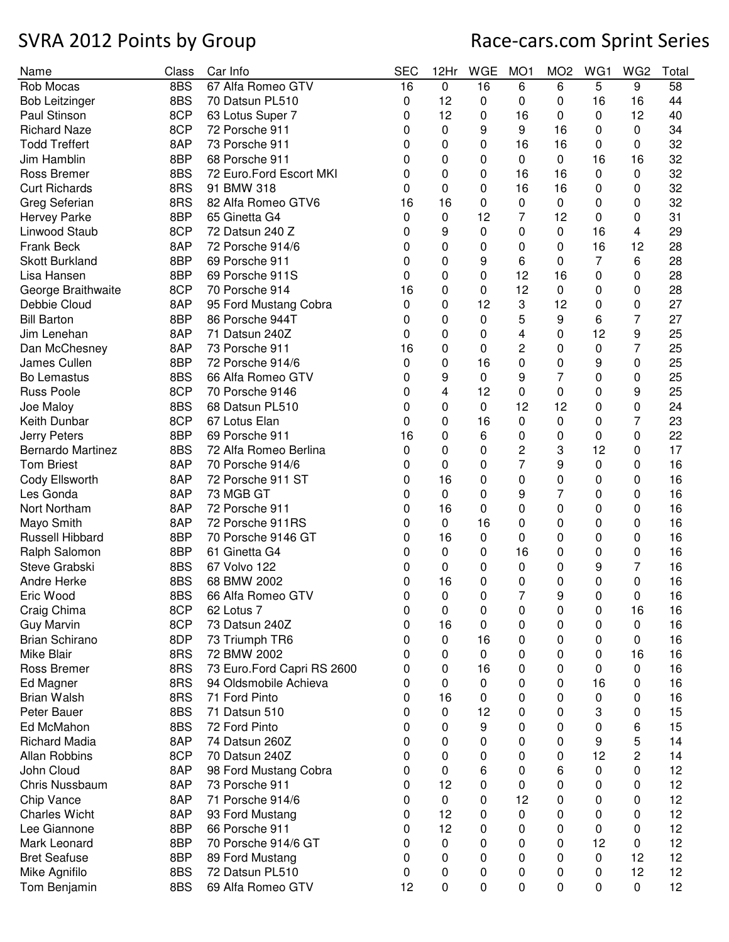| Name                     | Class | Car Info                      | <b>SEC</b> | 12Hr     | <b>WGE</b> | MO <sub>1</sub> | MO <sub>2</sub> | WG1     | WG <sub>2</sub> | Total |
|--------------------------|-------|-------------------------------|------------|----------|------------|-----------------|-----------------|---------|-----------------|-------|
| Rob Mocas                | 8BS   | 67 Alfa Romeo GTV             | 16         | 0        | 16         | 6               | 6               | 5       | 9               | 58    |
| <b>Bob Leitzinger</b>    | 8BS   | 70 Datsun PL510               | 0          | 12       | 0          | 0               | 0               | 16      | 16              | 44    |
| Paul Stinson             | 8CP   | 63 Lotus Super 7              | 0          | 12       | 0          | 16              | 0               | 0       | 12              | 40    |
| <b>Richard Naze</b>      | 8CP   | 72 Porsche 911                | 0          | 0        | 9          | 9               | 16              | 0       | 0               | 34    |
| <b>Todd Treffert</b>     | 8AP   | 73 Porsche 911                | 0          | 0        | 0          | 16              | 16              | 0       | 0               | 32    |
| Jim Hamblin              | 8BP   | 68 Porsche 911                | 0          | 0        | 0          | 0               | 0               | 16      | 16              | 32    |
| <b>Ross Bremer</b>       | 8BS   | 72 Euro.Ford Escort MKI       | 0          | 0        | 0          | 16              | 16              | 0       | $\pmb{0}$       | 32    |
| <b>Curt Richards</b>     | 8RS   | 91 BMW 318                    | 0          | 0        | 0          | 16              | 16              | 0       | 0               | 32    |
| Greg Seferian            | 8RS   | 82 Alfa Romeo GTV6            | 16         | 16       | 0          | 0               | $\pmb{0}$       | 0       | 0               | 32    |
| <b>Hervey Parke</b>      | 8BP   | 65 Ginetta G4                 | 0          | 0        | 12         | 7               | 12              | 0       | 0               | 31    |
| Linwood Staub            | 8CP   | 72 Datsun 240 Z               | 0          | 9        | 0          | 0               | $\mathbf 0$     | 16      | 4               | 29    |
| Frank Beck               | 8AP   | 72 Porsche 914/6              | 0          | 0        | 0          | 0               | 0               | 16      | 12              | 28    |
| <b>Skott Burkland</b>    | 8BP   | 69 Porsche 911                | 0          | 0        | 9          | 6               | 0               | 7       | 6               | 28    |
| Lisa Hansen              | 8BP   | 69 Porsche 911S               | 0          | 0        | 0          | 12              | 16              | 0       | 0               | 28    |
| George Braithwaite       | 8CP   | 70 Porsche 914                | 16         | 0        | 0          | 12              | 0               | 0       | 0               | 28    |
| Debbie Cloud             | 8AP   | 95 Ford Mustang Cobra         | 0          | 0        | 12         | 3               | 12              | 0       | 0               | 27    |
| <b>Bill Barton</b>       | 8BP   | 86 Porsche 944T               | 0          | 0        | 0          | 5               | 9               | 6       | 7               | 27    |
| Jim Lenehan              | 8AP   | 71 Datsun 240Z                | 0          | 0        | 0          | 4               | 0               | 12      | 9               | 25    |
| Dan McChesney            | 8AP   | 73 Porsche 911                | 16         | 0        | 0          | 2               | 0               | 0       | 7               | 25    |
| James Cullen             | 8BP   | 72 Porsche 914/6              | 0          | 0        | 16         | 0               | 0               | 9       | 0               | 25    |
| Bo Lemastus              | 8BS   | 66 Alfa Romeo GTV             | 0          | 9        | 0          | 9               | 7               | 0       | 0               | 25    |
| <b>Russ Poole</b>        | 8CP   | 70 Porsche 9146               | 0          | 4        | 12         | 0               | 0               | 0       | 9               | 25    |
| Joe Maloy                | 8BS   | 68 Datsun PL510               | 0          | 0        | $\Omega$   | 12              | 12              | 0       | 0               | 24    |
| Keith Dunbar             | 8CP   | 67 Lotus Elan                 | 0          | 0        | 16         | 0               | 0               | 0       | 7               | 23    |
| Jerry Peters             | 8BP   | 69 Porsche 911                | 16         | 0        | 6          | 0               | 0               | 0       | 0               | 22    |
| <b>Bernardo Martinez</b> | 8BS   | 72 Alfa Romeo Berlina         | 0          | 0        | 0          | 2               | 3               | 12      | 0               | 17    |
| <b>Tom Briest</b>        | 8AP   | 70 Porsche 914/6              | 0          | 0        | 0          | 7               | 9               | 0       | 0               | 16    |
| Cody Ellsworth           | 8AP   | 72 Porsche 911 ST             | 0          | 16       | 0          | 0               | 0               | 0       | 0               | 16    |
| Les Gonda                | 8AP   | 73 MGB GT                     | 0          | 0        | 0          | 9               | 7               | 0       | 0               | 16    |
| Nort Northam             | 8AP   | 72 Porsche 911                | 0          | 16       | 0          | 0               | 0               | 0       | 0               | 16    |
| Mayo Smith               | 8AP   | 72 Porsche 911RS              | 0          | $\Omega$ | 16         | 0               | 0               | 0       | 0               | 16    |
| Russell Hibbard          | 8BP   | 70 Porsche 9146 GT            | 0          | 16       | 0          | 0               | 0               | 0       | 0               | 16    |
| Ralph Salomon            | 8BP   | 61 Ginetta G4                 | 0          | 0        | 0          | 16              | 0               | 0       | 0               | 16    |
| Steve Grabski            | 8BS   | 67 Volvo 122                  | 0          | 0        | 0          | 0               | 0               | 9       | 7               | 16    |
| Andre Herke              | 8BS   | 68 BMW 2002                   | 0          | 16       | 0          | 0               | 0               | 0       | 0               | 16    |
| Eric Wood                | 8BS   | 66 Alfa Romeo GTV             | 0          |          | 0          | 7               | 9               |         | $\mathbf 0$     | 16    |
| Craig Chima              | 8CP   | 62 Lotus 7                    |            | U<br>0   |            |                 | 0               | 0       | 16              | 16    |
| <b>Guy Marvin</b>        | 8CP   |                               | 0          | 16       | 0          | 0               |                 | 0       |                 | 16    |
| <b>Brian Schirano</b>    | 8DP   | 73 Datsun 240Z                | 0          | 0        | 0<br>16    | 0<br>0          | 0<br>0          | 0<br>0  | 0               | 16    |
| Mike Blair               | 8RS   | 73 Triumph TR6<br>72 BMW 2002 | 0<br>0     | 0        | 0          | 0               |                 |         | 0<br>16         | 16    |
| Ross Bremer              | 8RS   | 73 Euro.Ford Capri RS 2600    | 0          | 0        | 16         | 0               | 0               | 0       |                 | 16    |
|                          | 8RS   |                               |            |          |            |                 | 0               | 0<br>16 | 0               |       |
| Ed Magner                |       | 94 Oldsmobile Achieva         | 0          | 0        | 0          | 0               | 0               |         | 0               | 16    |
| <b>Brian Walsh</b>       | 8RS   | 71 Ford Pinto                 | 0          | 16       | 0          | 0               | 0               | 0       | 0               | 16    |
| Peter Bauer              | 8BS   | 71 Datsun 510                 | 0          | 0        | 12         | 0               | 0               | 3       | 0               | 15    |
| Ed McMahon               | 8BS   | 72 Ford Pinto                 | 0          | 0        | 9          | 0               | 0               | 0       | 6               | 15    |
| <b>Richard Madia</b>     | 8AP   | 74 Datsun 260Z                | 0          | 0        | 0          | 0               | 0               | 9       | 5               | 14    |
| Allan Robbins            | 8CP   | 70 Datsun 240Z                | 0          | 0        | 0          | 0               | 0               | 12      | $\overline{c}$  | 14    |
| John Cloud               | 8AP   | 98 Ford Mustang Cobra         | 0          | 0        | 6          | 0               | 6               | 0       | 0               | 12    |
| <b>Chris Nussbaum</b>    | 8AP   | 73 Porsche 911                | 0          | 12       | 0          | 0               | 0               | 0       | 0               | 12    |
| Chip Vance               | 8AP   | 71 Porsche 914/6              | 0          | 0        | 0          | 12              | 0               | 0       | 0               | 12    |
| <b>Charles Wicht</b>     | 8AP   | 93 Ford Mustang               | 0          | 12       | 0          | 0               | 0               | 0       | 0               | 12    |
| Lee Giannone             | 8BP   | 66 Porsche 911                | 0          | 12       | 0          | 0               | 0               | 0       | 0               | 12    |
| Mark Leonard             | 8BP   | 70 Porsche 914/6 GT           | 0          | 0        | 0          | 0               | 0               | 12      | 0               | 12    |
| <b>Bret Seafuse</b>      | 8BP   | 89 Ford Mustang               | 0          | 0        | 0          | 0               | 0               | 0       | 12              | 12    |
| Mike Agnifilo            | 8BS   | 72 Datsun PL510               | 0          | 0        | 0          | 0               | 0               | 0       | 12              | 12    |
| Tom Benjamin             | 8BS   | 69 Alfa Romeo GTV             | 12         | 0        | 0          | 0               | 0               | 0       | $\pmb{0}$       | 12    |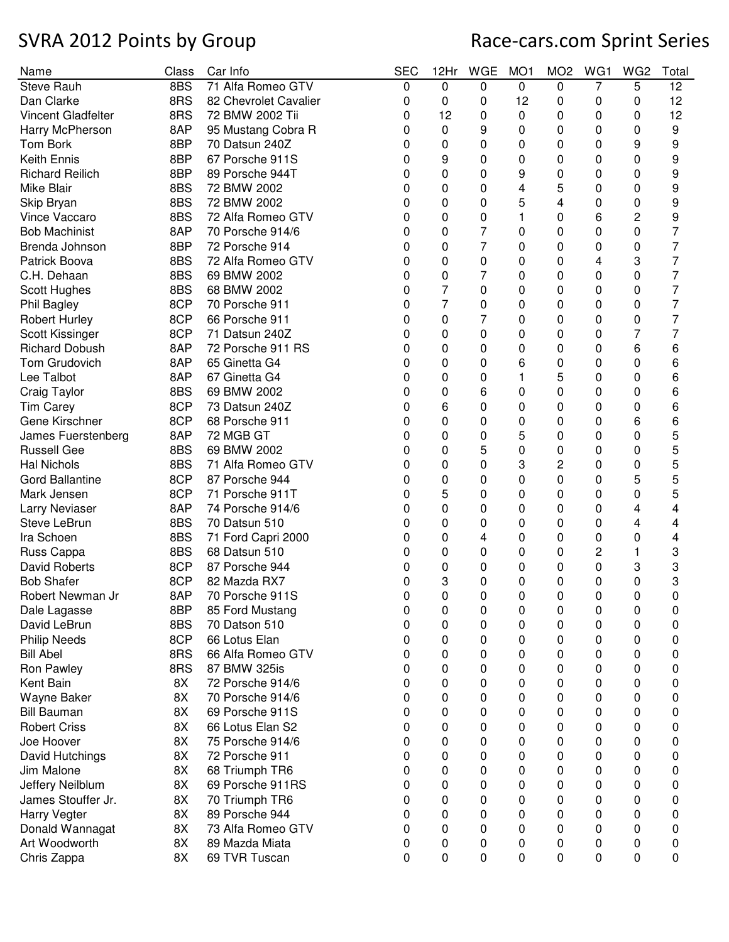| Name                   | Class | Car Info              | <b>SEC</b> | 12Hr           | <b>WGE</b> | MO <sub>1</sub> | MO <sub>2</sub> | WG1 | WG <sub>2</sub> | Total |
|------------------------|-------|-----------------------|------------|----------------|------------|-----------------|-----------------|-----|-----------------|-------|
| <b>Steve Rauh</b>      | 8BS   | 71 Alfa Romeo GTV     | 0          | $\mathbf 0$    | 0          | 0               | 0               | 7   | 5               | 12    |
| Dan Clarke             | 8RS   | 82 Chevrolet Cavalier | 0          | 0              | 0          | 12              | 0               | 0   | 0               | 12    |
| Vincent Gladfelter     | 8RS   | 72 BMW 2002 Tii       | 0          | 12             | 0          | 0               | 0               | 0   | 0               | 12    |
| Harry McPherson        | 8AP   | 95 Mustang Cobra R    | 0          | 0              | 9          | 0               | 0               | 0   | 0               | 9     |
| Tom Bork               | 8BP   | 70 Datsun 240Z        | 0          | 0              | 0          | 0               | 0               | 0   | 9               | 9     |
| <b>Keith Ennis</b>     | 8BP   | 67 Porsche 911S       | 0          | 9              | 0          | 0               | 0               | 0   | 0               | 9     |
| <b>Richard Reilich</b> | 8BP   | 89 Porsche 944T       | 0          | 0              | 0          | 9               | 0               | 0   | 0               | 9     |
| <b>Mike Blair</b>      | 8BS   | 72 BMW 2002           | 0          | 0              | 0          | 4               | 5               | 0   | 0               | 9     |
| Skip Bryan             | 8BS   | 72 BMW 2002           | 0          | 0              | 0          | 5               | 4               | 0   | 0               | 9     |
| Vince Vaccaro          | 8BS   | 72 Alfa Romeo GTV     | 0          | 0              | 0          | 1               | 0               | 6   | 2               | 9     |
| <b>Bob Machinist</b>   | 8AP   | 70 Porsche 914/6      | O          | 0              | 7          | 0               | 0               | 0   | 0               | 7     |
| Brenda Johnson         | 8BP   | 72 Porsche 914        | O          | 0              | 7          | 0               | 0               | 0   | 0               | 7     |
| Patrick Boova          | 8BS   | 72 Alfa Romeo GTV     | 0          | 0              | 0          | 0               | 0               | 4   | 3               | 7     |
| C.H. Dehaan            | 8BS   | 69 BMW 2002           | O          | 0              | 7          | 0               | 0               | 0   | 0               | 7     |
| Scott Hughes           | 8BS   | 68 BMW 2002           | 0          | 7              | 0          | 0               | 0               | 0   | 0               | 7     |
| Phil Bagley            | 8CP   | 70 Porsche 911        | 0          | $\overline{7}$ | 0          | 0               | 0               | 0   | 0               | 7     |
| <b>Robert Hurley</b>   | 8CP   | 66 Porsche 911        | 0          | 0              | 7          | 0               | 0               | 0   | 0               | 7     |
| Scott Kissinger        | 8CP   | 71 Datsun 240Z        | 0          | 0              | 0          | 0               | 0               | 0   | 7               | 7     |
| <b>Richard Dobush</b>  | 8AP   | 72 Porsche 911 RS     | 0          | 0              | 0          | 0               | 0               | 0   | 6               | 6     |
| Tom Grudovich          | 8AP   | 65 Ginetta G4         |            | 0              | 0          |                 |                 |     |                 |       |
|                        |       |                       | 0          |                |            | 6               | 0               | 0   | 0               | 6     |
| Lee Talbot             | 8AP   | 67 Ginetta G4         | 0          | 0              | 0          | 1               | 5               | 0   | 0               | 6     |
| Craig Taylor           | 8BS   | 69 BMW 2002           | 0          | 0              | 6          | 0               | 0               | 0   | 0               | 6     |
| <b>Tim Carey</b>       | 8CP   | 73 Datsun 240Z        | 0          | 6              | 0          | 0               | 0               | 0   | 0               | 6     |
| Gene Kirschner         | 8CP   | 68 Porsche 911        | 0          | 0              | 0          | 0               | 0               | 0   | 6               | 6     |
| James Fuerstenberg     | 8AP   | 72 MGB GT             | 0          | 0              | 0          | 5               | 0               | 0   | 0               | 5     |
| <b>Russell Gee</b>     | 8BS   | 69 BMW 2002           | 0          | 0              | 5          | 0               | 0               | 0   | 0               | 5     |
| <b>Hal Nichols</b>     | 8BS   | 71 Alfa Romeo GTV     | 0          | 0              | 0          | 3               | $\overline{c}$  | 0   | 0               | 5     |
| <b>Gord Ballantine</b> | 8CP   | 87 Porsche 944        | 0          | 0              | 0          | 0               | 0               | 0   | 5               | 5     |
| Mark Jensen            | 8CP   | 71 Porsche 911T       | 0          | 5              | 0          | 0               | 0               | 0   | 0               | 5     |
| Larry Neviaser         | 8AP   | 74 Porsche 914/6      | 0          | 0              | 0          | 0               | 0               | 0   | 4               | 4     |
| Steve LeBrun           | 8BS   | 70 Datsun 510         | 0          | 0              | 0          | 0               | 0               | 0   | 4               | 4     |
| Ira Schoen             | 8BS   | 71 Ford Capri 2000    | 0          | 0              | 4          | 0               | 0               | 0   | 0               | 4     |
| Russ Cappa             | 8BS   | 68 Datsun 510         | 0          | 0              | 0          | 0               | 0               | 2   | 1               | 3     |
| David Roberts          | 8CP   | 87 Porsche 944        | 0          | 0              | 0          | 0               | 0               | 0   | 3               | 3     |
| <b>Bob Shafer</b>      | 8CP   | 82 Mazda RX7          | 0          | 3              | 0          | 0               | 0               | 0   | 0               | 3     |
| Robert Newman Jr       | 8AP   | 70 Porsche 911S       | 0          | 0              | 0          | 0               | 0               | 0   | 0               | 0     |
| Dale Lagasse           | 8BP   | 85 Ford Mustang       | 0          | 0              | 0          | 0               | 0               | 0   | 0               | 0     |
| David LeBrun           | 8BS   | 70 Datson 510         | 0          | 0              | 0          | 0               | 0               | 0   | 0               | 0     |
| <b>Philip Needs</b>    | 8CP   | 66 Lotus Elan         | 0          | 0              | 0          | 0               | 0               | 0   | 0               | 0     |
| <b>Bill Abel</b>       | 8RS   | 66 Alfa Romeo GTV     | 0          | 0              | 0          | 0               | 0               | 0   | 0               | 0     |
| Ron Pawley             | 8RS   | 87 BMW 325is          | 0          | 0              | 0          | 0               | 0               | 0   | 0               | 0     |
| Kent Bain              | 8X    | 72 Porsche 914/6      | 0          | 0              | 0          | 0               | 0               | 0   | 0               | 0     |
| Wayne Baker            | 8X    | 70 Porsche 914/6      | 0          | 0              | 0          | 0               | 0               | 0   | 0               | 0     |
| <b>Bill Bauman</b>     | 8X    | 69 Porsche 911S       | 0          | 0              | 0          | 0               | 0               | 0   | 0               | 0     |
| <b>Robert Criss</b>    | 8X    | 66 Lotus Elan S2      | 0          | 0              | 0          | 0               | 0               | 0   | 0               | 0     |
| Joe Hoover             | 8X    | 75 Porsche 914/6      | 0          | 0              | 0          | 0               | 0               | 0   | 0               | 0     |
| David Hutchings        | 8X    | 72 Porsche 911        | 0          | 0              | 0          | 0               | 0               | 0   | 0               | 0     |
| Jim Malone             | 8X    | 68 Triumph TR6        | 0          | 0              | 0          | 0               | 0               | 0   | 0               | 0     |
| Jeffery Neilblum       | 8X    | 69 Porsche 911RS      | 0          | 0              | 0          | 0               | 0               | 0   | 0               | 0     |
| James Stouffer Jr.     | 8X    | 70 Triumph TR6        | 0          | 0              | 0          | 0               | 0               | 0   | 0               | 0     |
|                        | 8X    | 89 Porsche 944        |            | 0              |            |                 |                 |     |                 |       |
| Harry Vegter           |       |                       | 0          |                | 0          | 0               | 0               | 0   | 0               | 0     |
| Donald Wannagat        | 8X    | 73 Alfa Romeo GTV     | 0          | 0              | 0          | 0               | 0               | 0   | 0               | 0     |
| Art Woodworth          | 8X    | 89 Mazda Miata        | 0          | 0              | 0          | 0               | 0               | 0   | 0               | 0     |
| Chris Zappa            | 8X    | 69 TVR Tuscan         | 0          | 0              | 0          | 0               | 0               | 0   | 0               | 0     |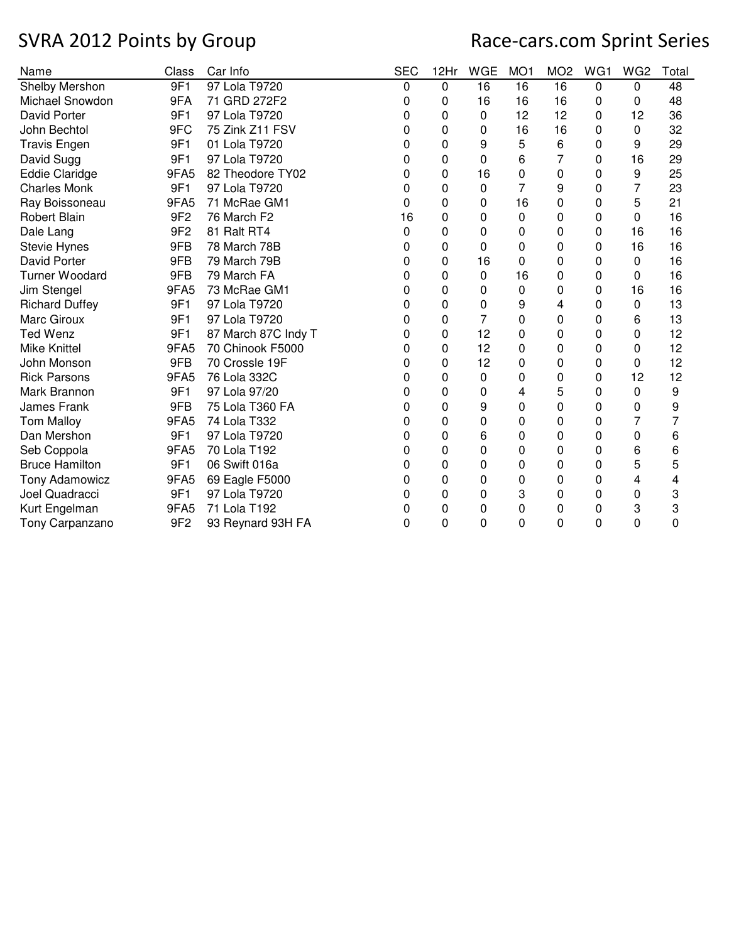| Name                  | Class           | Car Info            | <b>SEC</b> | 12Hr     | <b>WGE</b> | MO <sub>1</sub> | MO <sub>2</sub> | WG1 | WG <sub>2</sub> | Total |
|-----------------------|-----------------|---------------------|------------|----------|------------|-----------------|-----------------|-----|-----------------|-------|
| Shelby Mershon        | 9F1             | 97 Lola T9720       | 0          | 0        | 16         | 16              | 16              | 0   | 0               | 48    |
| Michael Snowdon       | 9FA             | 71 GRD 272F2        | 0          | 0        | 16         | 16              | 16              | 0   | 0               | 48    |
| David Porter          | 9F1             | 97 Lola T9720       | 0          | 0        | 0          | 12              | 12              | 0   | 12              | 36    |
| John Bechtol          | 9FC             | 75 Zink Z11 FSV     | 0          | 0        | 0          | 16              | 16              | 0   | 0               | 32    |
| <b>Travis Engen</b>   | 9F1             | 01 Lola T9720       | 0          | 0        | 9          | 5               | 6               | 0   | 9               | 29    |
| David Sugg            | 9F1             | 97 Lola T9720       | 0          | 0        | $\Omega$   | 6               | 7               | 0   | 16              | 29    |
| <b>Eddie Claridge</b> | 9FA5            | 82 Theodore TY02    | 0          | 0        | 16         | 0               | 0               | 0   | 9               | 25    |
| <b>Charles Monk</b>   | 9F1             | 97 Lola T9720       | 0          | 0        | 0          | 7               | 9               | 0   | 7               | 23    |
| Ray Boissoneau        | 9FA5            | 71 McRae GM1        | 0          | 0        | 0          | 16              | 0               | 0   | 5               | 21    |
| Robert Blain          | 9F <sub>2</sub> | 76 March F2         | 16         | 0        | 0          | 0               | 0               | 0   | 0               | 16    |
| Dale Lang             | 9F <sub>2</sub> | 81 Ralt RT4         | 0          | $\Omega$ | $\Omega$   | 0               | 0               | 0   | 16              | 16    |
| <b>Stevie Hynes</b>   | 9FB             | 78 March 78B        | 0          | 0        | 0          | 0               | 0               | 0   | 16              | 16    |
| David Porter          | 9FB             | 79 March 79B        | 0          | 0        | 16         | 0               | 0               | 0   | 0               | 16    |
| <b>Turner Woodard</b> | 9FB             | 79 March FA         | 0          | 0        | $\Omega$   | 16              | 0               | 0   | 0               | 16    |
| Jim Stengel           | 9FA5            | 73 McRae GM1        | 0          | 0        | 0          | 0               | 0               | 0   | 16              | 16    |
| <b>Richard Duffey</b> | 9F1             | 97 Lola T9720       | 0          | 0        | 0          | 9               | 4               | 0   | 0               | 13    |
| Marc Giroux           | 9F1             | 97 Lola T9720       | 0          | 0        | 7          | 0               | 0               | 0   | 6               | 13    |
| <b>Ted Wenz</b>       | 9F1             | 87 March 87C Indy T | 0          | 0        | 12         | 0               | 0               | 0   | 0               | 12    |
| <b>Mike Knittel</b>   | 9FA5            | 70 Chinook F5000    | 0          | 0        | 12         | 0               | 0               | 0   | 0               | 12    |
| John Monson           | 9FB             | 70 Crossle 19F      | 0          | 0        | 12         | 0               | 0               | 0   | 0               | 12    |
| <b>Rick Parsons</b>   | 9FA5            | 76 Lola 332C        | 0          | 0        | 0          | 0               | 0               | 0   | 12              | 12    |
| Mark Brannon          | 9F1             | 97 Lola 97/20       | 0          | 0        | 0          | 4               | 5               | 0   | 0               | 9     |
| James Frank           | 9FB             | 75 Lola T360 FA     | 0          | $\Omega$ | 9          | 0               | 0               | 0   | 0               | 9     |
| <b>Tom Malloy</b>     | 9FA5            | 74 Lola T332        | 0          | 0        | 0          | 0               | 0               | 0   | 7               | 7     |
| Dan Mershon           | 9F1             | 97 Lola T9720       | 0          | 0        | 6          | 0               | 0               | 0   | 0               | 6     |
| Seb Coppola           | 9FA5            | 70 Lola T192        | 0          | 0        | $\Omega$   | 0               | 0               | 0   | 6               | 6     |
| <b>Bruce Hamilton</b> | 9F1             | 06 Swift 016a       | 0          | 0        | 0          | 0               | 0               | 0   | 5               | 5     |
| Tony Adamowicz        | 9FA5            | 69 Eagle F5000      | 0          | 0        | 0          | 0               | 0               | 0   | 4               | 4     |
| Joel Quadracci        | 9F1             | 97 Lola T9720       | 0          | 0        | 0          | 3               | 0               | 0   | 0               | 3     |
| Kurt Engelman         | 9FA5            | 71 Lola T192        | 0          | 0        | 0          | 0               | 0               | 0   | 3               | 3     |
| Tony Carpanzano       | 9F <sub>2</sub> | 93 Reynard 93H FA   | 0          | $\Omega$ | 0          | 0               | 0               | 0   | 0               | 0     |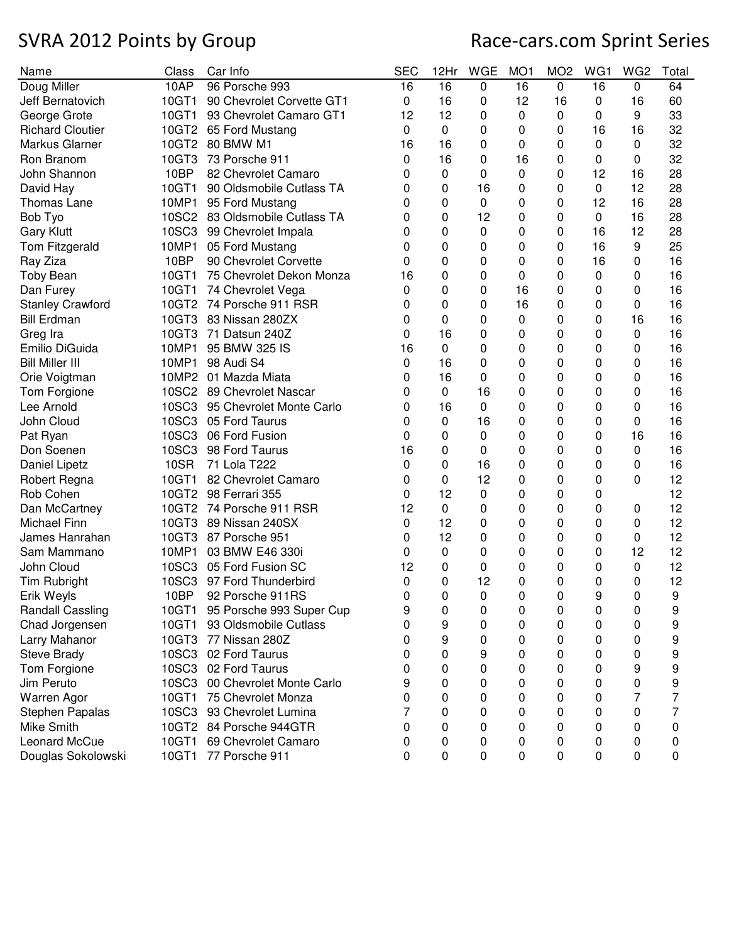| Name                       | Class | Car Info                       | <b>SEC</b>  | 12Hr        | <b>WGE</b> | MO <sub>1</sub> | MO <sub>2</sub> | WG1 | WG <sub>2</sub> | Total |
|----------------------------|-------|--------------------------------|-------------|-------------|------------|-----------------|-----------------|-----|-----------------|-------|
| Doug Miller                | 10AP  | 96 Porsche 993                 | 16          | 16          | 0          | 16              | 0               | 16  | 0               | 64    |
| Jeff Bernatovich           | 10GT1 | 90 Chevrolet Corvette GT1      | 0           | 16          | 0          | 12              | 16              | 0   | 16              | 60    |
| George Grote               | 10GT1 | 93 Chevrolet Camaro GT1        | 12          | 12          | 0          | 0               | 0               | 0   | 9               | 33    |
| <b>Richard Cloutier</b>    |       | 10GT2 65 Ford Mustang          | 0           | $\mathbf 0$ | 0          | 0               | 0               | 16  | 16              | 32    |
| Markus Glarner             |       | 10GT2 80 BMW M1                | 16          | 16          | 0          | 0               | 0               | 0   | 0               | 32    |
| Ron Branom                 | 10GT3 | 73 Porsche 911                 | 0           | 16          | 0          | 16              | 0               | 0   | 0               | 32    |
| John Shannon               | 10BP  | 82 Chevrolet Camaro            | 0           | 0           | 0          | 0               | 0               | 12  | 16              | 28    |
| David Hay                  | 10GT1 | 90 Oldsmobile Cutlass TA       | 0           | 0           | 16         | 0               | 0               | 0   | 12              | 28    |
| <b>Thomas Lane</b>         | 10MP1 | 95 Ford Mustang                | 0           | 0           | 0          | 0               | 0               | 12  | 16              | 28    |
| Bob Tyo                    |       | 10SC2 83 Oldsmobile Cutlass TA | 0           | 0           | 12         | 0               | 0               | 0   | 16              | 28    |
| <b>Gary Klutt</b>          |       | 10SC3 99 Chevrolet Impala      | 0           | 0           | 0          | 0               | 0               | 16  | 12              | 28    |
| Tom Fitzgerald             | 10MP1 | 05 Ford Mustang                | 0           | 0           | 0          | 0               | 0               | 16  | 9               | 25    |
| Ray Ziza                   | 10BP  | 90 Chevrolet Corvette          | 0           | 0           | 0          | 0               | 0               | 16  | 0               | 16    |
| <b>Toby Bean</b>           | 10GT1 | 75 Chevrolet Dekon Monza       | 16          | 0           | 0          | 0               | 0               | 0   | 0               | 16    |
| Dan Furey                  | 10GT1 | 74 Chevrolet Vega              | 0           | 0           | 0          | 16              | 0               | 0   | 0               | 16    |
| <b>Stanley Crawford</b>    |       | 10GT2 74 Porsche 911 RSR       | 0           | 0           | 0          | 16              | 0               | 0   | 0               | 16    |
| <b>Bill Erdman</b>         | 10GT3 | 83 Nissan 280ZX                | 0           | 0           | 0          | 0               | 0               | 0   | 16              | 16    |
| Greg Ira                   | 10GT3 | 71 Datsun 240Z                 | 0           | 16          | 0          | 0               | 0               | 0   | 0               | 16    |
| Emilio DiGuida             | 10MP1 | 95 BMW 325 IS                  | 16          | $\Omega$    | 0          | 0               | 0               | 0   | 0               | 16    |
| <b>Bill Miller III</b>     | 10MP1 | 98 Audi S4                     | 0           | 16          | 0          | 0               | 0               | 0   | 0               | 16    |
|                            | 10MP2 | 01 Mazda Miata                 | 0           | 16          | 0          | 0               | 0               | 0   |                 | 16    |
| Orie Voigtman              | 10SC2 | 89 Chevrolet Nascar            | 0           | 0           | 16         | 0               | 0               | 0   | 0<br>0          | 16    |
| Tom Forgione<br>Lee Arnold |       | 95 Chevrolet Monte Carlo       |             | 16          | 0          | 0               |                 |     |                 | 16    |
|                            | 10SC3 |                                | 0           |             |            |                 | 0               | 0   | 0               |       |
| John Cloud                 | 10SC3 | 05 Ford Taurus                 | 0           | 0           | 16         | 0               | 0               | 0   | 0               | 16    |
| Pat Ryan                   | 10SC3 | 06 Ford Fusion                 | 0           | 0           | 0          | 0               | 0               | 0   | 16              | 16    |
| Don Soenen                 | 10SC3 | 98 Ford Taurus                 | 16          | 0           | 0          | 0               | 0               | 0   | 0               | 16    |
| Daniel Lipetz              | 10SR  | 71 Lola T222                   | 0           | 0           | 16         | 0               | 0               | 0   | 0               | 16    |
| Robert Regna               | 10GT1 | 82 Chevrolet Camaro            | 0           | 0           | 12         | 0               | 0               | 0   | 0               | 12    |
| Rob Cohen                  | 10GT2 | 98 Ferrari 355                 | 0           | 12          | 0          | 0               | 0               | 0   |                 | 12    |
| Dan McCartney              |       | 10GT2 74 Porsche 911 RSR       | 12          | $\mathbf 0$ | 0          | 0               | 0               | 0   | 0               | 12    |
| Michael Finn               |       | 10GT3 89 Nissan 240SX          | 0           | 12          | 0          | 0               | 0               | 0   | 0               | 12    |
| James Hanrahan             |       | 10GT3 87 Porsche 951           | 0           | 12          | 0          | 0               | 0               | 0   | 0               | 12    |
| Sam Mammano                | 10MP1 | 03 BMW E46 330i                | 0           | 0           | 0          | 0               | 0               | 0   | 12              | 12    |
| John Cloud                 | 10SC3 | 05 Ford Fusion SC              | 12          | 0           | 0          | 0               | 0               | 0   | 0               | 12    |
| Tim Rubright               |       | 10SC3 97 Ford Thunderbird      | 0           | 0           | 12         | 0               | 0               | 0   | 0               | 12    |
| Erik Weyls                 | 10BP  | 92 Porsche 911RS               | $\mathbf 0$ | 0           | $\pmb{0}$  | 0               | 0               | 9   | 0               | 9     |
| Randall Cassling           |       | 10GT1 95 Porsche 993 Super Cup | 9           | 0           | 0          | 0               | 0               | 0   | 0               | 9     |
| Chad Jorgensen             | 10GT1 | 93 Oldsmobile Cutlass          | 0           | 9           | 0          | 0               | 0               | 0   | 0               | 9     |
| Larry Mahanor              | 10GT3 | 77 Nissan 280Z                 | 0           | 9           | 0          | 0               | 0               | 0   | 0               | 9     |
| <b>Steve Brady</b>         |       | 10SC3 02 Ford Taurus           | 0           | 0           | 9          | 0               | 0               | 0   | 0               | 9     |
| Tom Forgione               |       | 10SC3 02 Ford Taurus           | 0           | 0           | 0          | 0               | 0               | 0   | 9               | 9     |
| Jim Peruto                 | 10SC3 | 00 Chevrolet Monte Carlo       | 9           | 0           | 0          | 0               | 0               | 0   | 0               | 9     |
| Warren Agor                | 10GT1 | 75 Chevrolet Monza             | 0           | 0           | 0          | 0               | 0               | 0   | 7               | 7     |
| Stephen Papalas            | 10SC3 | 93 Chevrolet Lumina            | 7           | 0           | 0          | 0               | 0               | 0   | 0               | 7     |
| Mike Smith                 |       | 10GT2 84 Porsche 944GTR        | 0           | 0           | 0          | 0               | 0               | 0   | 0               | 0     |
| Leonard McCue              | 10GT1 | 69 Chevrolet Camaro            | 0           | 0           | 0          | 0               | 0               | 0   | 0               | 0     |
| Douglas Sokolowski         | 10GT1 | 77 Porsche 911                 | 0           | 0           | 0          | 0               | 0               | 0   | 0               | 0     |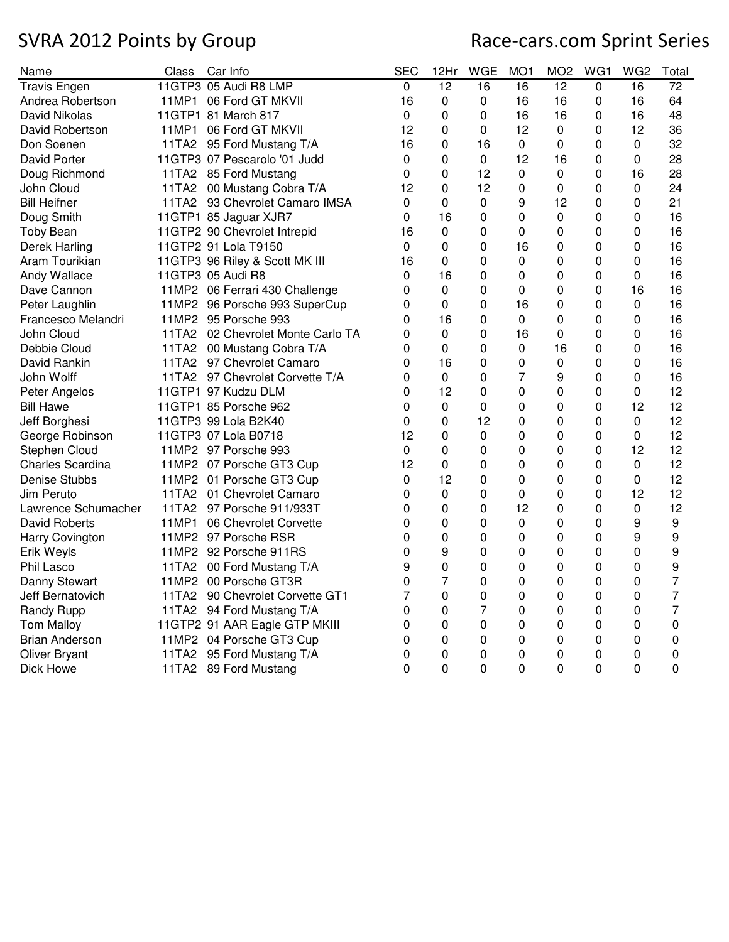| Name                  | Class | Car Info                          | <b>SEC</b>     | 12Hr            | <b>WGE</b>      | MO <sub>1</sub> | MO <sub>2</sub> | WG1            | WG <sub>2</sub> | Total           |
|-----------------------|-------|-----------------------------------|----------------|-----------------|-----------------|-----------------|-----------------|----------------|-----------------|-----------------|
| <b>Travis Engen</b>   |       | 11GTP3 05 Audi R8 LMP             | $\overline{0}$ | $\overline{12}$ | $\overline{16}$ | $\overline{16}$ | $\overline{12}$ | $\overline{0}$ | $\overline{16}$ | $\overline{72}$ |
| Andrea Robertson      |       | 11MP1 06 Ford GT MKVII            | 16             | 0               | 0               | 16              | 16              | 0              | 16              | 64              |
| David Nikolas         |       | 11GTP1 81 March 817               | 0              | 0               | 0               | 16              | 16              | 0              | 16              | 48              |
| David Robertson       |       | 11MP1 06 Ford GT MKVII            | 12             | 0               | $\Omega$        | 12              | 0               | 0              | 12              | 36              |
| Don Soenen            |       | 11TA2 95 Ford Mustang T/A         | 16             | 0               | 16              | $\pmb{0}$       | 0               | 0              | 0               | 32              |
| <b>David Porter</b>   |       | 11GTP3 07 Pescarolo '01 Judd      | 0              | 0               | $\mathbf 0$     | 12              | 16              | 0              | 0               | 28              |
| Doug Richmond         |       | 11TA2 85 Ford Mustang             | 0              | 0               | 12              | 0               | 0               | 0              | 16              | 28              |
| John Cloud            |       | 11TA2 00 Mustang Cobra T/A        | 12             | 0               | 12              | 0               | 0               | 0              | 0               | 24              |
| <b>Bill Heifner</b>   |       | 11TA2 93 Chevrolet Camaro IMSA    | 0              | 0               | 0               | 9               | 12              | 0              | 0               | 21              |
| Doug Smith            |       | 11GTP1 85 Jaguar XJR7             | 0              | 16              | 0               | 0               | $\mathbf 0$     | 0              | $\mathbf 0$     | 16              |
| <b>Toby Bean</b>      |       | 11GTP2 90 Chevrolet Intrepid      | 16             | 0               | 0               | 0               | 0               | 0              | 0               | 16              |
| Derek Harling         |       | 11GTP2 91 Lola T9150              | 0              | 0               | 0               | 16              | 0               | 0              | 0               | 16              |
| Aram Tourikian        |       | 11GTP3 96 Riley & Scott MK III    | 16             | $\Omega$        | 0               | $\mathbf 0$     | 0               | 0              | $\Omega$        | 16              |
| Andy Wallace          |       | 11GTP3 05 Audi R8                 | 0              | 16              | 0               | 0               | 0               | 0              | 0               | 16              |
| Dave Cannon           |       | 11MP2 06 Ferrari 430 Challenge    | 0              | 0               | 0               | 0               | 0               | 0              | 16              | 16              |
| Peter Laughlin        |       | 11MP2 96 Porsche 993 SuperCup     | 0              | 0               | 0               | 16              | 0               | 0              | 0               | 16              |
| Francesco Melandri    |       | 11MP2 95 Porsche 993              | 0              | 16              | 0               | $\Omega$        | 0               | 0              | 0               | 16              |
| John Cloud            |       | 11TA2 02 Chevrolet Monte Carlo TA | 0              | 0               | 0               | 16              | 0               | 0              | 0               | 16              |
| Debbie Cloud          |       | 11TA2 00 Mustang Cobra T/A        | 0              | 0               | 0               | 0               | 16              | 0              | 0               | 16              |
| David Rankin          |       | 11TA2 97 Chevrolet Camaro         | 0              | 16              | 0               | 0               | 0               | 0              | 0               | 16              |
| John Wolff            |       | 11TA2 97 Chevrolet Corvette T/A   | 0              | 0               | 0               | 7               | 9               | 0              | 0               | 16              |
| Peter Angelos         |       | 11GTP1 97 Kudzu DLM               | 0              | 12              | 0               | 0               | 0               | 0              | 0               | 12              |
| <b>Bill Hawe</b>      |       | 11GTP1 85 Porsche 962             | 0              | 0               | 0               | 0               | 0               | 0              | 12              | 12              |
| Jeff Borghesi         |       | 11GTP3 99 Lola B2K40              | 0              | 0               | 12              | 0               | 0               | 0              | 0               | 12              |
| George Robinson       |       | 11GTP3 07 Lola B0718              | 12             | 0               | $\mathbf 0$     | 0               | 0               | 0              | 0               | 12              |
| Stephen Cloud         |       | 11MP2 97 Porsche 993              | 0              | 0               | $\Omega$        | $\mathbf 0$     | 0               | 0              | 12              | 12              |
| Charles Scardina      |       | 11MP2 07 Porsche GT3 Cup          | 12             | 0               | 0               | 0               | 0               | 0              | $\mathbf 0$     | 12              |
| Denise Stubbs         |       | 11MP2 01 Porsche GT3 Cup          | 0              | 12              | 0               | 0               | 0               | 0              | 0               | 12              |
| Jim Peruto            |       | 11TA2 01 Chevrolet Camaro         | 0              | 0               | $\Omega$        | 0               | 0               | 0              | 12              | 12              |
| Lawrence Schumacher   |       | 11TA2 97 Porsche 911/933T         | 0              | 0               | 0               | 12              | 0               | 0              | 0               | 12              |
| <b>David Roberts</b>  |       | 11MP1 06 Chevrolet Corvette       | 0              | 0               | 0               | $\pmb{0}$       | 0               | 0              | 9               | 9               |
| Harry Covington       |       | 11MP2 97 Porsche RSR              | 0              | $\mathbf 0$     | $\mathbf 0$     | 0               | 0               | 0              | 9               | 9               |
| Erik Weyls            |       | 11MP2 92 Porsche 911RS            | 0              | 9               | 0               | 0               | 0               | 0              | 0               | 9               |
| Phil Lasco            |       | 11TA2 00 Ford Mustang T/A         | 9              | 0               | 0               | 0               | 0               | 0              | 0               | 9               |
| Danny Stewart         |       | 11MP2 00 Porsche GT3R             | 0              | $\overline{7}$  | 0               | 0               | 0               | 0              | 0               | $\overline{7}$  |
| Jeff Bernatovich      |       | 11TA2 90 Chevrolet Corvette GT1   | $\overline{7}$ | $\overline{0}$  | 0               | 0               | 0               | 0              | 0               | $\overline{7}$  |
| <b>Randy Rupp</b>     |       | 11TA2 94 Ford Mustang T/A         | 0              | 0               | $\overline{7}$  | 0               | 0               | 0              | 0               | $\overline{7}$  |
| <b>Tom Malloy</b>     |       | 11GTP2 91 AAR Eagle GTP MKIII     | 0              | $\overline{0}$  | 0               | 0               | 0               | 0              | 0               | $\mathbf 0$     |
| <b>Brian Anderson</b> |       | 11MP2 04 Porsche GT3 Cup          | 0              | 0               | 0               | $\mathbf 0$     | 0               | 0              | 0               | $\mathbf 0$     |
| <b>Oliver Bryant</b>  |       | 11TA2 95 Ford Mustang T/A         | 0              | 0               | 0               | $\pmb{0}$       | 0               | 0              | 0               | 0               |
| Dick Howe             |       | 11TA2 89 Ford Mustang             | $\overline{0}$ | $\overline{0}$  | $\overline{0}$  | 0               | 0               | 0              | 0               | $\mathbf 0$     |